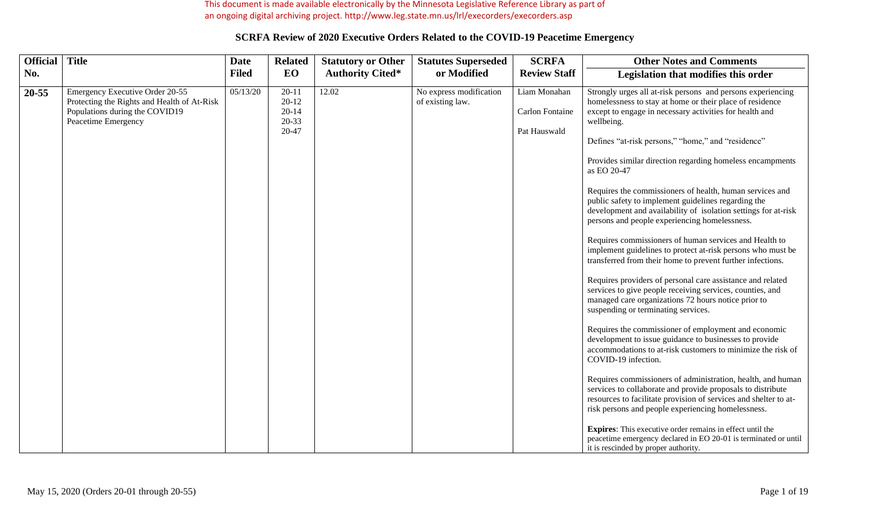This document is made available electronically by the Minnesota Legislative Reference Library as part of an ongoing digital archiving project. http://www.leg.state.mn.us/lrl/execorders/execorders.asp

| <b>Official</b> | <b>Title</b>                                                                                                                            | <b>Date</b>  | <b>Related</b>                                            | <b>Statutory or Other</b> | <b>Statutes Superseded</b>                  | <b>SCRFA</b>                                           | <b>Other Notes and Comments</b>                                                                                                                                                                                                                                                                                                                                                                                                                                                                                                                                                                                                                                                                                                                                                                                                                                                                                                                                                                                                                                                                                                                                                                                                                                                                                                                                                                                                                                                                                                                                                                                                  |
|-----------------|-----------------------------------------------------------------------------------------------------------------------------------------|--------------|-----------------------------------------------------------|---------------------------|---------------------------------------------|--------------------------------------------------------|----------------------------------------------------------------------------------------------------------------------------------------------------------------------------------------------------------------------------------------------------------------------------------------------------------------------------------------------------------------------------------------------------------------------------------------------------------------------------------------------------------------------------------------------------------------------------------------------------------------------------------------------------------------------------------------------------------------------------------------------------------------------------------------------------------------------------------------------------------------------------------------------------------------------------------------------------------------------------------------------------------------------------------------------------------------------------------------------------------------------------------------------------------------------------------------------------------------------------------------------------------------------------------------------------------------------------------------------------------------------------------------------------------------------------------------------------------------------------------------------------------------------------------------------------------------------------------------------------------------------------------|
| No.             |                                                                                                                                         | <b>Filed</b> | EO                                                        | <b>Authority Cited*</b>   | or Modified                                 | <b>Review Staff</b>                                    | Legislation that modifies this order                                                                                                                                                                                                                                                                                                                                                                                                                                                                                                                                                                                                                                                                                                                                                                                                                                                                                                                                                                                                                                                                                                                                                                                                                                                                                                                                                                                                                                                                                                                                                                                             |
| 20-55           | Emergency Executive Order 20-55<br>Protecting the Rights and Health of At-Risk<br>Populations during the COVID19<br>Peacetime Emergency | 05/13/20     | $20 - 11$<br>$20 - 12$<br>$20 - 14$<br>$20 - 33$<br>20-47 | 12.02                     | No express modification<br>of existing law. | Liam Monahan<br><b>Carlon Fontaine</b><br>Pat Hauswald | Strongly urges all at-risk persons and persons experiencing<br>homelessness to stay at home or their place of residence<br>except to engage in necessary activities for health and<br>wellbeing.<br>Defines "at-risk persons," "home," and "residence"<br>Provides similar direction regarding homeless encampments<br>as EO 20-47<br>Requires the commissioners of health, human services and<br>public safety to implement guidelines regarding the<br>development and availability of isolation settings for at-risk<br>persons and people experiencing homelessness.<br>Requires commissioners of human services and Health to<br>implement guidelines to protect at-risk persons who must be<br>transferred from their home to prevent further infections.<br>Requires providers of personal care assistance and related<br>services to give people receiving services, counties, and<br>managed care organizations 72 hours notice prior to<br>suspending or terminating services.<br>Requires the commissioner of employment and economic<br>development to issue guidance to businesses to provide<br>accommodations to at-risk customers to minimize the risk of<br>COVID-19 infection.<br>Requires commissioners of administration, health, and human<br>services to collaborate and provide proposals to distribute<br>resources to facilitate provision of services and shelter to at-<br>risk persons and people experiencing homelessness.<br>Expires: This executive order remains in effect until the<br>peacetime emergency declared in EO 20-01 is terminated or until<br>it is rescinded by proper authority. |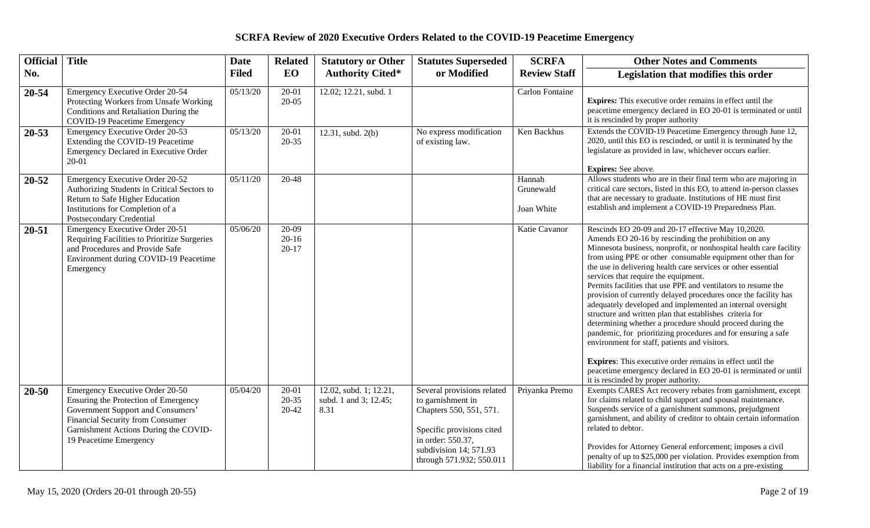| <b>Official</b> | <b>Title</b>                                                                                                                                                                                                        | <b>Date</b>  | <b>Related</b>                    | <b>Statutory or Other</b>                               | <b>Statutes Superseded</b>                                                                                                                                                         | <b>SCRFA</b>                      | <b>Other Notes and Comments</b>                                                                                                                                                                                                                                                                                                                                                                                                                                                                                                                                                                                                                                                                                                                                                                                                                                                                                                                                               |
|-----------------|---------------------------------------------------------------------------------------------------------------------------------------------------------------------------------------------------------------------|--------------|-----------------------------------|---------------------------------------------------------|------------------------------------------------------------------------------------------------------------------------------------------------------------------------------------|-----------------------------------|-------------------------------------------------------------------------------------------------------------------------------------------------------------------------------------------------------------------------------------------------------------------------------------------------------------------------------------------------------------------------------------------------------------------------------------------------------------------------------------------------------------------------------------------------------------------------------------------------------------------------------------------------------------------------------------------------------------------------------------------------------------------------------------------------------------------------------------------------------------------------------------------------------------------------------------------------------------------------------|
| No.             |                                                                                                                                                                                                                     | <b>Filed</b> | EO                                | <b>Authority Cited*</b>                                 | or Modified                                                                                                                                                                        | <b>Review Staff</b>               | Legislation that modifies this order                                                                                                                                                                                                                                                                                                                                                                                                                                                                                                                                                                                                                                                                                                                                                                                                                                                                                                                                          |
| $20 - 54$       | Emergency Executive Order 20-54<br>Protecting Workers from Unsafe Working<br>Conditions and Retaliation During the<br>COVID-19 Peacetime Emergency                                                                  | 05/13/20     | $20-01$<br>$20 - 05$              | 12.02; 12.21, subd. 1                                   |                                                                                                                                                                                    | <b>Carlon Fontaine</b>            | Expires: This executive order remains in effect until the<br>peacetime emergency declared in EO 20-01 is terminated or until<br>it is rescinded by proper authority                                                                                                                                                                                                                                                                                                                                                                                                                                                                                                                                                                                                                                                                                                                                                                                                           |
| $20 - 53$       | Emergency Executive Order 20-53<br>Extending the COVID-19 Peacetime<br>Emergency Declared in Executive Order<br>20-01                                                                                               | 05/13/20     | $20 - 01$<br>$20 - 35$            | 12.31, subd. 2(b)                                       | No express modification<br>of existing law.                                                                                                                                        | Ken Backhus                       | Extends the COVID-19 Peacetime Emergency through June 12,<br>2020, until this EO is rescinded, or until it is terminated by the<br>legislature as provided in law, whichever occurs earlier.<br><b>Expires:</b> See above.                                                                                                                                                                                                                                                                                                                                                                                                                                                                                                                                                                                                                                                                                                                                                    |
| 20-52           | Emergency Executive Order 20-52<br>Authorizing Students in Critical Sectors to<br>Return to Safe Higher Education<br>Institutions for Completion of a<br>Postsecondary Credential                                   | 05/11/20     | 20-48                             |                                                         |                                                                                                                                                                                    | Hannah<br>Grunewald<br>Joan White | Allows students who are in their final term who are majoring in<br>critical care sectors, listed in this EO, to attend in-person classes<br>that are necessary to graduate. Institutions of HE must first<br>establish and implement a COVID-19 Preparedness Plan.                                                                                                                                                                                                                                                                                                                                                                                                                                                                                                                                                                                                                                                                                                            |
| $20 - 51$       | Emergency Executive Order 20-51<br>Requiring Facilities to Prioritize Surgeries<br>and Procedures and Provide Safe<br>Environment during COVID-19 Peacetime<br>Emergency                                            | 05/06/20     | $20-09$<br>$20 - 16$<br>$20 - 17$ |                                                         |                                                                                                                                                                                    | Katie Cavanor                     | Rescinds EO 20-09 and 20-17 effective May 10,2020.<br>Amends EO 20-16 by rescinding the prohibition on any<br>Minnesota business, nonprofit, or nonhospital health care facility<br>from using PPE or other consumable equipment other than for<br>the use in delivering health care services or other essential<br>services that require the equipment.<br>Permits facilities that use PPE and ventilators to resume the<br>provision of currently delayed procedures once the facility has<br>adequately developed and implemented an internal oversight<br>structure and written plan that establishes criteria for<br>determining whether a procedure should proceed during the<br>pandemic, for prioritizing procedures and for ensuring a safe<br>environment for staff, patients and visitors.<br>Expires: This executive order remains in effect until the<br>peacetime emergency declared in EO 20-01 is terminated or until<br>it is rescinded by proper authority. |
| 20-50           | Emergency Executive Order 20-50<br>Ensuring the Protection of Emergency<br>Government Support and Consumers'<br>Financial Security from Consumer<br>Garnishment Actions During the COVID-<br>19 Peacetime Emergency | 05/04/20     | $20 - 01$<br>$20 - 35$<br>20-42   | 12.02, subd. 1; 12.21,<br>subd. 1 and 3; 12.45;<br>8.31 | Several provisions related<br>to garnishment in<br>Chapters 550, 551, 571.<br>Specific provisions cited<br>in order: 550.37,<br>subdivision 14; 571.93<br>through 571.932; 550.011 | Priyanka Premo                    | Exempts CARES Act recovery rebates from garnishment, except<br>for claims related to child support and spousal maintenance.<br>Suspends service of a garnishment summons, prejudgment<br>garnishment, and ability of creditor to obtain certain information<br>related to debtor.<br>Provides for Attorney General enforcement; imposes a civil<br>penalty of up to \$25,000 per violation. Provides exemption from<br>liability for a financial institution that acts on a pre-existing                                                                                                                                                                                                                                                                                                                                                                                                                                                                                      |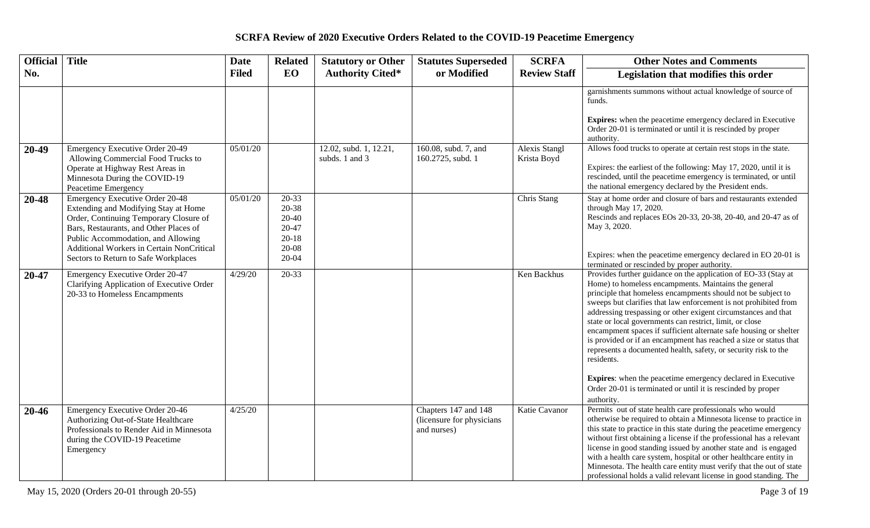| <b>Official</b> | <b>Title</b>                                                                                                                                                                                                                                                                                         | <b>Date</b>  | <b>Related</b>                                                    | <b>Statutory or Other</b>                | <b>Statutes Superseded</b>                                       | <b>SCRFA</b>                 | <b>Other Notes and Comments</b>                                                                                                                                                                                                                                                                                                                                                                                                                                                                                                                                                                                                                                                                                                                                         |
|-----------------|------------------------------------------------------------------------------------------------------------------------------------------------------------------------------------------------------------------------------------------------------------------------------------------------------|--------------|-------------------------------------------------------------------|------------------------------------------|------------------------------------------------------------------|------------------------------|-------------------------------------------------------------------------------------------------------------------------------------------------------------------------------------------------------------------------------------------------------------------------------------------------------------------------------------------------------------------------------------------------------------------------------------------------------------------------------------------------------------------------------------------------------------------------------------------------------------------------------------------------------------------------------------------------------------------------------------------------------------------------|
| No.             |                                                                                                                                                                                                                                                                                                      | <b>Filed</b> | <b>EO</b>                                                         | <b>Authority Cited*</b>                  | or Modified                                                      | <b>Review Staff</b>          | Legislation that modifies this order                                                                                                                                                                                                                                                                                                                                                                                                                                                                                                                                                                                                                                                                                                                                    |
|                 |                                                                                                                                                                                                                                                                                                      |              |                                                                   |                                          |                                                                  |                              | garnishments summons without actual knowledge of source of<br>funds.                                                                                                                                                                                                                                                                                                                                                                                                                                                                                                                                                                                                                                                                                                    |
|                 |                                                                                                                                                                                                                                                                                                      |              |                                                                   |                                          |                                                                  |                              | <b>Expires:</b> when the peacetime emergency declared in Executive<br>Order 20-01 is terminated or until it is rescinded by proper<br>authority.                                                                                                                                                                                                                                                                                                                                                                                                                                                                                                                                                                                                                        |
| 20-49           | Emergency Executive Order 20-49<br>Allowing Commercial Food Trucks to<br>Operate at Highway Rest Areas in<br>Minnesota During the COVID-19<br>Peacetime Emergency                                                                                                                                    | 05/01/20     |                                                                   | 12.02, subd. 1, 12.21,<br>subds. 1 and 3 | 160.08, subd. 7, and<br>160.2725, subd. 1                        | Alexis Stangl<br>Krista Boyd | Allows food trucks to operate at certain rest stops in the state.<br>Expires: the earliest of the following: May 17, 2020, until it is<br>rescinded, until the peacetime emergency is terminated, or until<br>the national emergency declared by the President ends.                                                                                                                                                                                                                                                                                                                                                                                                                                                                                                    |
| 20-48           | <b>Emergency Executive Order 20-48</b><br>Extending and Modifying Stay at Home<br>Order, Continuing Temporary Closure of<br>Bars, Restaurants, and Other Places of<br>Public Accommodation, and Allowing<br><b>Additional Workers in Certain NonCritical</b><br>Sectors to Return to Safe Workplaces | 05/01/20     | 20-33<br>20-38<br>20-40<br>20-47<br>$20-18$<br>20-08<br>$20 - 04$ |                                          |                                                                  | Chris Stang                  | Stay at home order and closure of bars and restaurants extended<br>through May 17, 2020.<br>Rescinds and replaces EOs 20-33, 20-38, 20-40, and 20-47 as of<br>May 3, 2020.<br>Expires: when the peacetime emergency declared in EO 20-01 is<br>terminated or rescinded by proper authority.                                                                                                                                                                                                                                                                                                                                                                                                                                                                             |
| 20-47           | Emergency Executive Order 20-47<br>Clarifying Application of Executive Order<br>20-33 to Homeless Encampments                                                                                                                                                                                        | 4/29/20      | 20-33                                                             |                                          |                                                                  | Ken Backhus                  | Provides further guidance on the application of EO-33 (Stay at<br>Home) to homeless encampments. Maintains the general<br>principle that homeless encampments should not be subject to<br>sweeps but clarifies that law enforcement is not prohibited from<br>addressing trespassing or other exigent circumstances and that<br>state or local governments can restrict, limit, or close<br>encampment spaces if sufficient alternate safe housing or shelter<br>is provided or if an encampment has reached a size or status that<br>represents a documented health, safety, or security risk to the<br>residents.<br><b>Expires:</b> when the peacetime emergency declared in Executive<br>Order 20-01 is terminated or until it is rescinded by proper<br>authority. |
| 20-46           | Emergency Executive Order 20-46<br>Authorizing Out-of-State Healthcare<br>Professionals to Render Aid in Minnesota<br>during the COVID-19 Peacetime<br>Emergency                                                                                                                                     | 4/25/20      |                                                                   |                                          | Chapters 147 and 148<br>(licensure for physicians<br>and nurses) | Katie Cavanor                | Permits out of state health care professionals who would<br>otherwise be required to obtain a Minnesota license to practice in<br>this state to practice in this state during the peacetime emergency<br>without first obtaining a license if the professional has a relevant<br>license in good standing issued by another state and is engaged<br>with a health care system, hospital or other healthcare entity in<br>Minnesota. The health care entity must verify that the out of state<br>professional holds a valid relevant license in good standing. The                                                                                                                                                                                                       |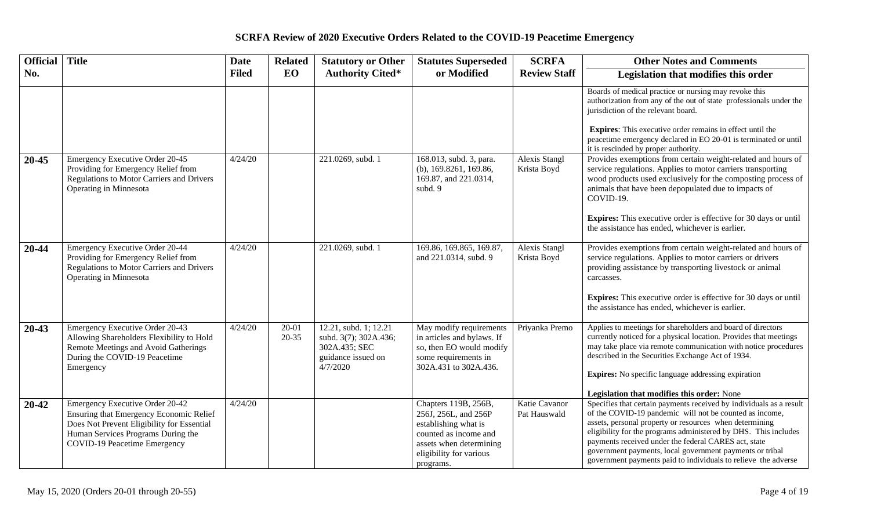| <b>Official</b> | <b>Title</b>                                                                                                                                                                                   | <b>Date</b>  | <b>Related</b>         | <b>Statutory or Other</b>                                                                         | <b>Statutes Superseded</b>                                                                                                                                       | <b>SCRFA</b>                        | <b>Other Notes and Comments</b>                                                                                                                                                                                                                                                                                                                                                                                                                    |
|-----------------|------------------------------------------------------------------------------------------------------------------------------------------------------------------------------------------------|--------------|------------------------|---------------------------------------------------------------------------------------------------|------------------------------------------------------------------------------------------------------------------------------------------------------------------|-------------------------------------|----------------------------------------------------------------------------------------------------------------------------------------------------------------------------------------------------------------------------------------------------------------------------------------------------------------------------------------------------------------------------------------------------------------------------------------------------|
| No.             |                                                                                                                                                                                                | <b>Filed</b> | EO                     | <b>Authority Cited*</b>                                                                           | or Modified                                                                                                                                                      | <b>Review Staff</b>                 | Legislation that modifies this order                                                                                                                                                                                                                                                                                                                                                                                                               |
|                 |                                                                                                                                                                                                |              |                        |                                                                                                   |                                                                                                                                                                  |                                     | Boards of medical practice or nursing may revoke this<br>authorization from any of the out of state professionals under the<br>jurisdiction of the relevant board.                                                                                                                                                                                                                                                                                 |
|                 |                                                                                                                                                                                                |              |                        |                                                                                                   |                                                                                                                                                                  |                                     | <b>Expires:</b> This executive order remains in effect until the<br>peacetime emergency declared in EO 20-01 is terminated or until<br>it is rescinded by proper authority.                                                                                                                                                                                                                                                                        |
| 20-45           | Emergency Executive Order 20-45<br>Providing for Emergency Relief from<br>Regulations to Motor Carriers and Drivers<br>Operating in Minnesota                                                  | 4/24/20      |                        | 221.0269, subd. 1                                                                                 | 168.013, subd. 3, para.<br>(b), $169.8261$ , $169.86$ ,<br>169.87, and 221.0314,<br>subd. 9                                                                      | <b>Alexis Stangl</b><br>Krista Boyd | Provides exemptions from certain weight-related and hours of<br>service regulations. Applies to motor carriers transporting<br>wood products used exclusively for the composting process of<br>animals that have been depopulated due to impacts of<br>COVID-19.<br><b>Expires:</b> This executive order is effective for 30 days or until<br>the assistance has ended, whichever is earlier.                                                      |
| 20-44           | Emergency Executive Order 20-44<br>Providing for Emergency Relief from<br>Regulations to Motor Carriers and Drivers<br>Operating in Minnesota                                                  | 4/24/20      |                        | 221.0269, subd. 1                                                                                 | 169.86, 169.865, 169.87,<br>and 221.0314, subd. 9                                                                                                                | <b>Alexis Stangl</b><br>Krista Boyd | Provides exemptions from certain weight-related and hours of<br>service regulations. Applies to motor carriers or drivers<br>providing assistance by transporting livestock or animal<br>carcasses.<br><b>Expires:</b> This executive order is effective for 30 days or until<br>the assistance has ended, whichever is earlier.                                                                                                                   |
| $20 - 43$       | Emergency Executive Order 20-43<br>Allowing Shareholders Flexibility to Hold<br>Remote Meetings and Avoid Gatherings<br>During the COVID-19 Peacetime<br>Emergency                             | 4/24/20      | $20 - 01$<br>$20 - 35$ | 12.21, subd. 1; 12.21<br>subd. 3(7); 302A.436;<br>302A.435; SEC<br>guidance issued on<br>4/7/2020 | May modify requirements<br>in articles and bylaws. If<br>so, then EO would modify<br>some requirements in<br>302A.431 to 302A.436.                               | Priyanka Premo                      | Applies to meetings for shareholders and board of directors<br>currently noticed for a physical location. Provides that meetings<br>may take place via remote communication with notice procedures<br>described in the Securities Exchange Act of 1934.<br>Expires: No specific language addressing expiration<br>Legislation that modifies this order: None                                                                                       |
| 20-42           | Emergency Executive Order 20-42<br>Ensuring that Emergency Economic Relief<br>Does Not Prevent Eligibility for Essential<br>Human Services Programs During the<br>COVID-19 Peacetime Emergency | 4/24/20      |                        |                                                                                                   | Chapters 119B, 256B,<br>256J, 256L, and 256P<br>establishing what is<br>counted as income and<br>assets when determining<br>eligibility for various<br>programs. | Katie Cavanor<br>Pat Hauswald       | Specifies that certain payments received by individuals as a result<br>of the COVID-19 pandemic will not be counted as income,<br>assets, personal property or resources when determining<br>eligibility for the programs administered by DHS. This includes<br>payments received under the federal CARES act, state<br>government payments, local government payments or tribal<br>government payments paid to individuals to relieve the adverse |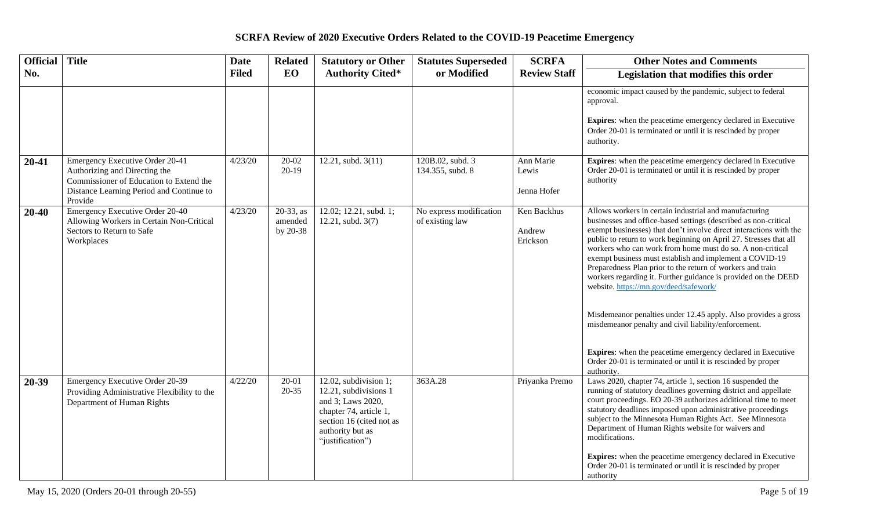| <b>Official</b> | <b>Title</b>                                                                                                                                                       | <b>Date</b>  | <b>Related</b>                      | <b>Statutory or Other</b>                                                                                                                                         | <b>Statutes Superseded</b>                 | <b>SCRFA</b>                      | <b>Other Notes and Comments</b>                                                                                                                                                                                                                                                                                                                                                                                                                                                                                                                                                                                                                                                                                                                                                                                                               |
|-----------------|--------------------------------------------------------------------------------------------------------------------------------------------------------------------|--------------|-------------------------------------|-------------------------------------------------------------------------------------------------------------------------------------------------------------------|--------------------------------------------|-----------------------------------|-----------------------------------------------------------------------------------------------------------------------------------------------------------------------------------------------------------------------------------------------------------------------------------------------------------------------------------------------------------------------------------------------------------------------------------------------------------------------------------------------------------------------------------------------------------------------------------------------------------------------------------------------------------------------------------------------------------------------------------------------------------------------------------------------------------------------------------------------|
| No.             |                                                                                                                                                                    | <b>Filed</b> | <b>EO</b>                           | <b>Authority Cited*</b>                                                                                                                                           | or Modified                                | <b>Review Staff</b>               | Legislation that modifies this order                                                                                                                                                                                                                                                                                                                                                                                                                                                                                                                                                                                                                                                                                                                                                                                                          |
|                 |                                                                                                                                                                    |              |                                     |                                                                                                                                                                   |                                            |                                   | economic impact caused by the pandemic, subject to federal<br>approval.<br><b>Expires:</b> when the peacetime emergency declared in Executive<br>Order 20-01 is terminated or until it is rescinded by proper<br>authority.                                                                                                                                                                                                                                                                                                                                                                                                                                                                                                                                                                                                                   |
| 20-41           | Emergency Executive Order 20-41<br>Authorizing and Directing the<br>Commissioner of Education to Extend the<br>Distance Learning Period and Continue to<br>Provide | 4/23/20      | $20 - 02$<br>$20-19$                | 12.21, subd. $3(11)$                                                                                                                                              | 120B.02, subd. 3<br>134.355, subd. 8       | Ann Marie<br>Lewis<br>Jenna Hofer | Expires: when the peacetime emergency declared in Executive<br>Order 20-01 is terminated or until it is rescinded by proper<br>authority                                                                                                                                                                                                                                                                                                                                                                                                                                                                                                                                                                                                                                                                                                      |
| 20-40           | Emergency Executive Order 20-40<br>Allowing Workers in Certain Non-Critical<br>Sectors to Return to Safe<br>Workplaces                                             | 4/23/20      | $20-33$ , as<br>amended<br>by 20-38 | $12.02$ ; 12.21, subd. 1;<br>12.21, subd. 3(7)                                                                                                                    | No express modification<br>of existing law | Ken Backhus<br>Andrew<br>Erickson | Allows workers in certain industrial and manufacturing<br>businesses and office-based settings (described as non-critical<br>exempt businesses) that don't involve direct interactions with the<br>public to return to work beginning on April 27. Stresses that all<br>workers who can work from home must do so. A non-critical<br>exempt business must establish and implement a COVID-19<br>Preparedness Plan prior to the return of workers and train<br>workers regarding it. Further guidance is provided on the DEED<br>website. https://mn.gov/deed/safework/<br>Misdemeanor penalties under 12.45 apply. Also provides a gross<br>misdemeanor penalty and civil liability/enforcement.<br>Expires: when the peacetime emergency declared in Executive<br>Order 20-01 is terminated or until it is rescinded by proper<br>authority. |
| 20-39           | Emergency Executive Order 20-39<br>Providing Administrative Flexibility to the<br>Department of Human Rights                                                       | 4/22/20      | $20 - 01$<br>$20 - 35$              | 12.02, subdivision 1;<br>12.21, subdivisions 1<br>and 3; Laws 2020,<br>chapter 74, article 1,<br>section 16 (cited not as<br>authority but as<br>"justification") | 363A.28                                    | Priyanka Premo                    | Laws 2020, chapter 74, article 1, section 16 suspended the<br>running of statutory deadlines governing district and appellate<br>court proceedings. EO 20-39 authorizes additional time to meet<br>statutory deadlines imposed upon administrative proceedings<br>subject to the Minnesota Human Rights Act. See Minnesota<br>Department of Human Rights website for waivers and<br>modifications.<br><b>Expires:</b> when the peacetime emergency declared in Executive<br>Order 20-01 is terminated or until it is rescinded by proper<br>authority                                                                                                                                                                                                                                                                                         |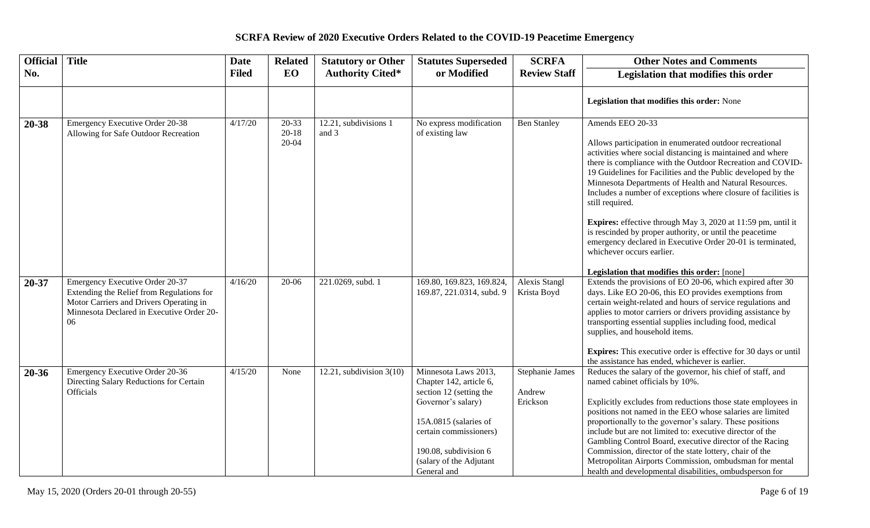| <b>Official</b> | <b>Title</b>                                                                                                                                                               | <b>Date</b>  | <b>Related</b>                  | <b>Statutory or Other</b>      | <b>Statutes Superseded</b>                             | <b>SCRFA</b>                        | <b>Other Notes and Comments</b>                                                                                                                                                                                                                                                                                                                                                                                                                                                                                                                                                                                                               |
|-----------------|----------------------------------------------------------------------------------------------------------------------------------------------------------------------------|--------------|---------------------------------|--------------------------------|--------------------------------------------------------|-------------------------------------|-----------------------------------------------------------------------------------------------------------------------------------------------------------------------------------------------------------------------------------------------------------------------------------------------------------------------------------------------------------------------------------------------------------------------------------------------------------------------------------------------------------------------------------------------------------------------------------------------------------------------------------------------|
| No.             |                                                                                                                                                                            | <b>Filed</b> | EO                              | <b>Authority Cited*</b>        | or Modified                                            | <b>Review Staff</b>                 | Legislation that modifies this order                                                                                                                                                                                                                                                                                                                                                                                                                                                                                                                                                                                                          |
|                 |                                                                                                                                                                            |              |                                 |                                |                                                        |                                     | Legislation that modifies this order: None                                                                                                                                                                                                                                                                                                                                                                                                                                                                                                                                                                                                    |
| 20-38           | <b>Emergency Executive Order 20-38</b><br>Allowing for Safe Outdoor Recreation                                                                                             | 4/17/20      | $20 - 33$<br>$20 - 18$<br>20-04 | 12.21, subdivisions 1<br>and 3 | No express modification<br>of existing law             | <b>Ben Stanley</b>                  | Amends EEO 20-33<br>Allows participation in enumerated outdoor recreational<br>activities where social distancing is maintained and where<br>there is compliance with the Outdoor Recreation and COVID-<br>19 Guidelines for Facilities and the Public developed by the<br>Minnesota Departments of Health and Natural Resources.<br>Includes a number of exceptions where closure of facilities is<br>still required.<br>Expires: effective through May 3, 2020 at 11:59 pm, until it<br>is rescinded by proper authority, or until the peacetime<br>emergency declared in Executive Order 20-01 is terminated,<br>whichever occurs earlier. |
|                 |                                                                                                                                                                            |              |                                 |                                |                                                        |                                     | Legislation that modifies this order: [none]                                                                                                                                                                                                                                                                                                                                                                                                                                                                                                                                                                                                  |
| 20-37           | Emergency Executive Order 20-37<br>Extending the Relief from Regulations for<br>Motor Carriers and Drivers Operating in<br>Minnesota Declared in Executive Order 20-<br>06 | 4/16/20      | 20-06                           | 221.0269, subd. 1              | 169.80, 169.823, 169.824,<br>169.87, 221.0314, subd. 9 | <b>Alexis Stangl</b><br>Krista Boyd | Extends the provisions of EO 20-06, which expired after 30<br>days. Like EO 20-06, this EO provides exemptions from<br>certain weight-related and hours of service regulations and<br>applies to motor carriers or drivers providing assistance by<br>transporting essential supplies including food, medical<br>supplies, and household items.<br><b>Expires:</b> This executive order is effective for 30 days or until<br>the assistance has ended, whichever is earlier.                                                                                                                                                                  |
| 20-36           | Emergency Executive Order 20-36                                                                                                                                            | 4/15/20      | None                            | 12.21, subdivision $3(10)$     | Minnesota Laws 2013,                                   | Stephanie James                     | Reduces the salary of the governor, his chief of staff, and                                                                                                                                                                                                                                                                                                                                                                                                                                                                                                                                                                                   |
|                 | Directing Salary Reductions for Certain<br>Officials                                                                                                                       |              |                                 |                                | Chapter 142, article 6,<br>section 12 (setting the     | Andrew                              | named cabinet officials by 10%.                                                                                                                                                                                                                                                                                                                                                                                                                                                                                                                                                                                                               |
|                 |                                                                                                                                                                            |              |                                 |                                | Governor's salary)                                     | Erickson                            | Explicitly excludes from reductions those state employees in                                                                                                                                                                                                                                                                                                                                                                                                                                                                                                                                                                                  |
|                 |                                                                                                                                                                            |              |                                 |                                | 15A.0815 (salaries of                                  |                                     | positions not named in the EEO whose salaries are limited<br>proportionally to the governor's salary. These positions                                                                                                                                                                                                                                                                                                                                                                                                                                                                                                                         |
|                 |                                                                                                                                                                            |              |                                 |                                | certain commissioners)                                 |                                     | include but are not limited to: executive director of the<br>Gambling Control Board, executive director of the Racing                                                                                                                                                                                                                                                                                                                                                                                                                                                                                                                         |
|                 |                                                                                                                                                                            |              |                                 |                                | 190.08, subdivision 6                                  |                                     | Commission, director of the state lottery, chair of the                                                                                                                                                                                                                                                                                                                                                                                                                                                                                                                                                                                       |
|                 |                                                                                                                                                                            |              |                                 |                                | (salary of the Adjutant                                |                                     | Metropolitan Airports Commission, ombudsman for mental                                                                                                                                                                                                                                                                                                                                                                                                                                                                                                                                                                                        |
|                 |                                                                                                                                                                            |              |                                 |                                | General and                                            |                                     | health and developmental disabilities, ombudsperson for                                                                                                                                                                                                                                                                                                                                                                                                                                                                                                                                                                                       |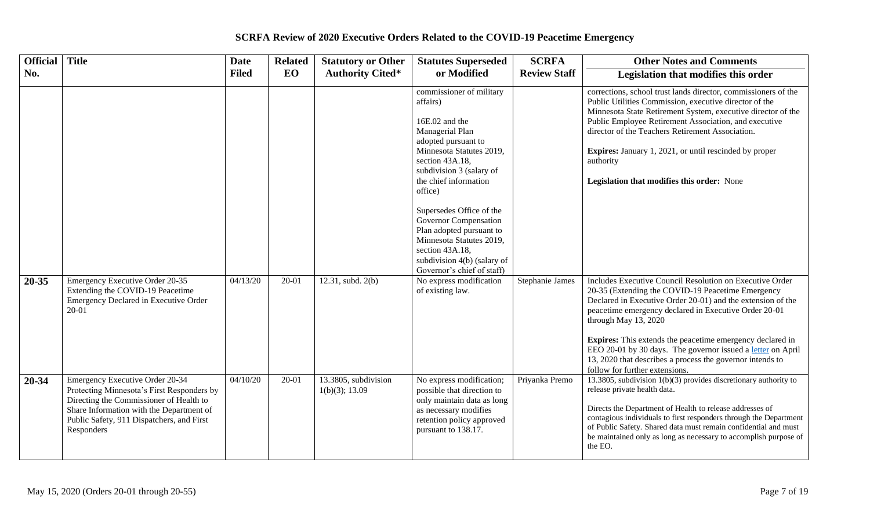| <b>Official</b> | <b>Title</b>                                                                                                                                                                                                                    | <b>Date</b>  | <b>Related</b> | <b>Statutory or Other</b>              | <b>Statutes Superseded</b>                                                                                                                                                                                                                                                                                                                                                                                   | <b>SCRFA</b>        | <b>Other Notes and Comments</b>                                                                                                                                                                                                                                                                                                                                                                                                                                                                 |
|-----------------|---------------------------------------------------------------------------------------------------------------------------------------------------------------------------------------------------------------------------------|--------------|----------------|----------------------------------------|--------------------------------------------------------------------------------------------------------------------------------------------------------------------------------------------------------------------------------------------------------------------------------------------------------------------------------------------------------------------------------------------------------------|---------------------|-------------------------------------------------------------------------------------------------------------------------------------------------------------------------------------------------------------------------------------------------------------------------------------------------------------------------------------------------------------------------------------------------------------------------------------------------------------------------------------------------|
| No.             |                                                                                                                                                                                                                                 | <b>Filed</b> | EO             | <b>Authority Cited*</b>                | or Modified                                                                                                                                                                                                                                                                                                                                                                                                  | <b>Review Staff</b> | Legislation that modifies this order                                                                                                                                                                                                                                                                                                                                                                                                                                                            |
|                 |                                                                                                                                                                                                                                 |              |                |                                        | commissioner of military<br>affairs)<br>16E.02 and the<br>Managerial Plan<br>adopted pursuant to<br>Minnesota Statutes 2019,<br>section 43A.18,<br>subdivision 3 (salary of<br>the chief information<br>office)<br>Supersedes Office of the<br>Governor Compensation<br>Plan adopted pursuant to<br>Minnesota Statutes 2019,<br>section 43A.18,<br>subdivision 4(b) (salary of<br>Governor's chief of staff) |                     | corrections, school trust lands director, commissioners of the<br>Public Utilities Commission, executive director of the<br>Minnesota State Retirement System, executive director of the<br>Public Employee Retirement Association, and executive<br>director of the Teachers Retirement Association.<br><b>Expires:</b> January 1, 2021, or until rescinded by proper<br>authority<br>Legislation that modifies this order: None                                                               |
| 20-35           | Emergency Executive Order 20-35<br>Extending the COVID-19 Peacetime<br>Emergency Declared in Executive Order<br>20-01                                                                                                           | 04/13/20     | 20-01          | 12.31, subd. 2(b)                      | No express modification<br>of existing law.                                                                                                                                                                                                                                                                                                                                                                  | Stephanie James     | Includes Executive Council Resolution on Executive Order<br>20-35 (Extending the COVID-19 Peacetime Emergency<br>Declared in Executive Order 20-01) and the extension of the<br>peacetime emergency declared in Executive Order 20-01<br>through May 13, 2020<br><b>Expires:</b> This extends the peacetime emergency declared in<br>EEO 20-01 by 30 days. The governor issued a letter on April<br>13, 2020 that describes a process the governor intends to<br>follow for further extensions. |
| $20 - 34$       | Emergency Executive Order 20-34<br>Protecting Minnesota's First Responders by<br>Directing the Commissioner of Health to<br>Share Information with the Department of<br>Public Safety, 911 Dispatchers, and First<br>Responders | 04/10/20     | 20-01          | 13.3805, subdivision<br>1(b)(3); 13.09 | No express modification;<br>possible that direction to<br>only maintain data as long<br>as necessary modifies<br>retention policy approved<br>pursuant to 138.17.                                                                                                                                                                                                                                            | Priyanka Premo      | 13.3805, subdivision $1(b)(3)$ provides discretionary authority to<br>release private health data.<br>Directs the Department of Health to release addresses of<br>contagious individuals to first responders through the Department<br>of Public Safety. Shared data must remain confidential and must<br>be maintained only as long as necessary to accomplish purpose of<br>the EO.                                                                                                           |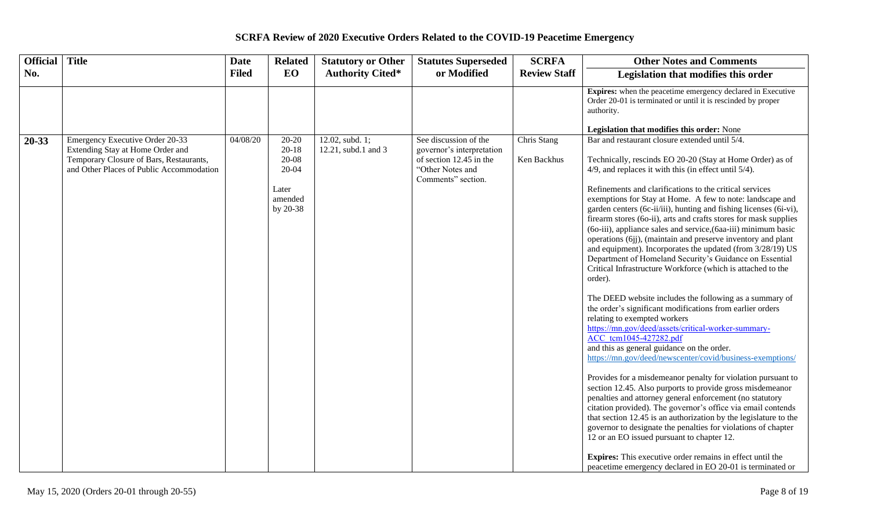| <b>Title</b><br>Official<br><b>Date</b>                                                                                                                                         |                                                                          | <b>Statutory or Other</b>              | <b>Statutes Superseded</b>                                                                                              | <b>SCRFA</b>               | <b>Other Notes and Comments</b>                                                                                                                                                                                                                                                                                                                                                                                                                                                                                                                                                                                                                                                                                                                                                                                                                                                                                                                                                                                                                                                                                                                                                                                                                                                                                                                                                                                                                                                                                                                                                                                                                                                                                   |
|---------------------------------------------------------------------------------------------------------------------------------------------------------------------------------|--------------------------------------------------------------------------|----------------------------------------|-------------------------------------------------------------------------------------------------------------------------|----------------------------|-------------------------------------------------------------------------------------------------------------------------------------------------------------------------------------------------------------------------------------------------------------------------------------------------------------------------------------------------------------------------------------------------------------------------------------------------------------------------------------------------------------------------------------------------------------------------------------------------------------------------------------------------------------------------------------------------------------------------------------------------------------------------------------------------------------------------------------------------------------------------------------------------------------------------------------------------------------------------------------------------------------------------------------------------------------------------------------------------------------------------------------------------------------------------------------------------------------------------------------------------------------------------------------------------------------------------------------------------------------------------------------------------------------------------------------------------------------------------------------------------------------------------------------------------------------------------------------------------------------------------------------------------------------------------------------------------------------------|
| No.<br><b>Filed</b>                                                                                                                                                             | EO                                                                       | <b>Authority Cited*</b>                | or Modified                                                                                                             | <b>Review Staff</b>        | Legislation that modifies this order                                                                                                                                                                                                                                                                                                                                                                                                                                                                                                                                                                                                                                                                                                                                                                                                                                                                                                                                                                                                                                                                                                                                                                                                                                                                                                                                                                                                                                                                                                                                                                                                                                                                              |
|                                                                                                                                                                                 |                                                                          |                                        |                                                                                                                         |                            | <b>Expires:</b> when the peacetime emergency declared in Executive<br>Order 20-01 is terminated or until it is rescinded by proper<br>authority.                                                                                                                                                                                                                                                                                                                                                                                                                                                                                                                                                                                                                                                                                                                                                                                                                                                                                                                                                                                                                                                                                                                                                                                                                                                                                                                                                                                                                                                                                                                                                                  |
|                                                                                                                                                                                 |                                                                          |                                        |                                                                                                                         |                            | Legislation that modifies this order: None                                                                                                                                                                                                                                                                                                                                                                                                                                                                                                                                                                                                                                                                                                                                                                                                                                                                                                                                                                                                                                                                                                                                                                                                                                                                                                                                                                                                                                                                                                                                                                                                                                                                        |
| Emergency Executive Order 20-33<br>04/08/20<br>20-33<br>Extending Stay at Home Order and<br>Temporary Closure of Bars, Restaurants,<br>and Other Places of Public Accommodation | 20-20<br>$20 - 18$<br>20-08<br>$20 - 04$<br>Later<br>amended<br>by 20-38 | 12.02, subd. 1;<br>12.21, subd.1 and 3 | See discussion of the<br>governor's interpretation<br>of section 12.45 in the<br>"Other Notes and<br>Comments" section. | Chris Stang<br>Ken Backhus | Bar and restaurant closure extended until 5/4.<br>Technically, rescinds EO 20-20 (Stay at Home Order) as of<br>$4/9$ , and replaces it with this (in effect until $5/4$ ).<br>Refinements and clarifications to the critical services<br>exemptions for Stay at Home. A few to note: landscape and<br>garden centers (6c-ii/iii), hunting and fishing licenses (6i-vi),<br>firearm stores (60-ii), arts and crafts stores for mask supplies<br>(60-iii), appliance sales and service, (6aa-iii) minimum basic<br>operations (6jj), (maintain and preserve inventory and plant<br>and equipment). Incorporates the updated (from 3/28/19) US<br>Department of Homeland Security's Guidance on Essential<br>Critical Infrastructure Workforce (which is attached to the<br>order).<br>The DEED website includes the following as a summary of<br>the order's significant modifications from earlier orders<br>relating to exempted workers<br>https://mn.gov/deed/assets/critical-worker-summary-<br>ACC tcm1045-427282.pdf<br>and this as general guidance on the order.<br>https://mn.gov/deed/newscenter/covid/business-exemptions/<br>Provides for a misdemeanor penalty for violation pursuant to<br>section 12.45. Also purports to provide gross misdemeanor<br>penalties and attorney general enforcement (no statutory<br>citation provided). The governor's office via email contends<br>that section 12.45 is an authorization by the legislature to the<br>governor to designate the penalties for violations of chapter<br>12 or an EO issued pursuant to chapter 12.<br><b>Expires:</b> This executive order remains in effect until the<br>peacetime emergency declared in EO 20-01 is terminated or |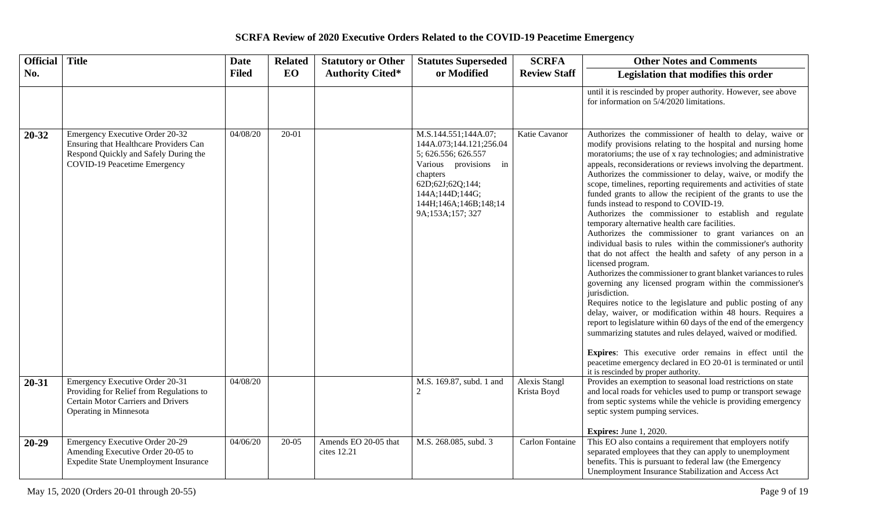| <b>Official</b> | <b>Title</b>                                                                                                                                              | <b>Date</b>  | <b>Related</b> | <b>Statutory or Other</b>           | <b>Statutes Superseded</b>                                                                                                                                                                      | <b>SCRFA</b>                 | <b>Other Notes and Comments</b>                                                                                                                                                                                                                                                                                                                                                                                                                                                                                                                                                                                                                                                                                                                                                                                                                                                                                                                                                                                                                                                                                                                                                                                                                                                                                                                                                                                         |
|-----------------|-----------------------------------------------------------------------------------------------------------------------------------------------------------|--------------|----------------|-------------------------------------|-------------------------------------------------------------------------------------------------------------------------------------------------------------------------------------------------|------------------------------|-------------------------------------------------------------------------------------------------------------------------------------------------------------------------------------------------------------------------------------------------------------------------------------------------------------------------------------------------------------------------------------------------------------------------------------------------------------------------------------------------------------------------------------------------------------------------------------------------------------------------------------------------------------------------------------------------------------------------------------------------------------------------------------------------------------------------------------------------------------------------------------------------------------------------------------------------------------------------------------------------------------------------------------------------------------------------------------------------------------------------------------------------------------------------------------------------------------------------------------------------------------------------------------------------------------------------------------------------------------------------------------------------------------------------|
| No.             |                                                                                                                                                           | <b>Filed</b> | <b>EO</b>      | <b>Authority Cited*</b>             | or Modified                                                                                                                                                                                     | <b>Review Staff</b>          | Legislation that modifies this order                                                                                                                                                                                                                                                                                                                                                                                                                                                                                                                                                                                                                                                                                                                                                                                                                                                                                                                                                                                                                                                                                                                                                                                                                                                                                                                                                                                    |
|                 |                                                                                                                                                           |              |                |                                     |                                                                                                                                                                                                 |                              | until it is rescinded by proper authority. However, see above<br>for information on 5/4/2020 limitations.                                                                                                                                                                                                                                                                                                                                                                                                                                                                                                                                                                                                                                                                                                                                                                                                                                                                                                                                                                                                                                                                                                                                                                                                                                                                                                               |
| 20-32           | Emergency Executive Order 20-32<br>Ensuring that Healthcare Providers Can<br>Respond Quickly and Safely During the<br><b>COVID-19 Peacetime Emergency</b> | 04/08/20     | $20 - 01$      |                                     | M.S.144.551;144A.07;<br>144A.073;144.121;256.04<br>5; 626.556; 626.557<br>Various provisions in<br>chapters<br>62D;62J;62Q;144;<br>144A;144D;144G;<br>144H;146A;146B;148;14<br>9A;153A;157; 327 | Katie Cavanor                | Authorizes the commissioner of health to delay, waive or<br>modify provisions relating to the hospital and nursing home<br>moratoriums; the use of x ray technologies; and administrative<br>appeals, reconsiderations or reviews involving the department.<br>Authorizes the commissioner to delay, waive, or modify the<br>scope, timelines, reporting requirements and activities of state<br>funded grants to allow the recipient of the grants to use the<br>funds instead to respond to COVID-19.<br>Authorizes the commissioner to establish and regulate<br>temporary alternative health care facilities.<br>Authorizes the commissioner to grant variances on an<br>individual basis to rules within the commissioner's authority<br>that do not affect the health and safety of any person in a<br>licensed program.<br>Authorizes the commissioner to grant blanket variances to rules<br>governing any licensed program within the commissioner's<br>jurisdiction.<br>Requires notice to the legislature and public posting of any<br>delay, waiver, or modification within 48 hours. Requires a<br>report to legislature within 60 days of the end of the emergency<br>summarizing statutes and rules delayed, waived or modified.<br>Expires: This executive order remains in effect until the<br>peacetime emergency declared in EO 20-01 is terminated or until<br>it is rescinded by proper authority. |
| $20 - 31$       | Emergency Executive Order 20-31<br>Providing for Relief from Regulations to<br><b>Certain Motor Carriers and Drivers</b><br>Operating in Minnesota        | 04/08/20     |                |                                     | M.S. 169.87, subd. 1 and<br>2                                                                                                                                                                   | Alexis Stangl<br>Krista Boyd | Provides an exemption to seasonal load restrictions on state<br>and local roads for vehicles used to pump or transport sewage<br>from septic systems while the vehicle is providing emergency<br>septic system pumping services.<br><b>Expires:</b> June 1, 2020.                                                                                                                                                                                                                                                                                                                                                                                                                                                                                                                                                                                                                                                                                                                                                                                                                                                                                                                                                                                                                                                                                                                                                       |
| $20 - 29$       | <b>Emergency Executive Order 20-29</b><br>Amending Executive Order 20-05 to<br><b>Expedite State Unemployment Insurance</b>                               | 04/06/20     | $20 - 05$      | Amends EO 20-05 that<br>cites 12.21 | M.S. 268.085, subd. 3                                                                                                                                                                           | Carlon Fontaine              | This EO also contains a requirement that employers notify<br>separated employees that they can apply to unemployment<br>benefits. This is pursuant to federal law (the Emergency<br>Unemployment Insurance Stabilization and Access Act                                                                                                                                                                                                                                                                                                                                                                                                                                                                                                                                                                                                                                                                                                                                                                                                                                                                                                                                                                                                                                                                                                                                                                                 |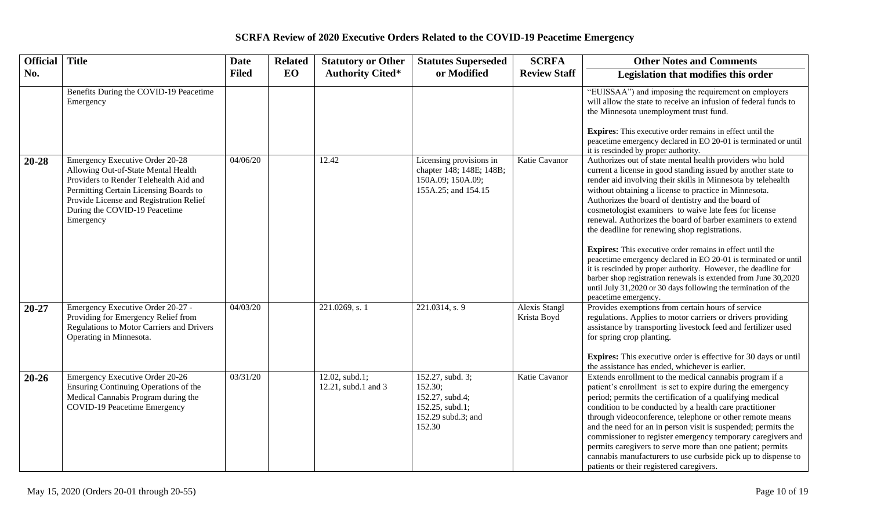| <b>Official</b> | <b>Title</b>                                                                                                                                                                                                                                               | <b>Date</b>  | <b>Related</b> | <b>Statutory or Other</b>                | <b>Statutes Superseded</b>                                                                        | <b>SCRFA</b>                        | <b>Other Notes and Comments</b>                                                                                                                                                                                                                                                                                                                                                                                                                                                                                                                                                                                                                                                                                                                                                                                                                          |
|-----------------|------------------------------------------------------------------------------------------------------------------------------------------------------------------------------------------------------------------------------------------------------------|--------------|----------------|------------------------------------------|---------------------------------------------------------------------------------------------------|-------------------------------------|----------------------------------------------------------------------------------------------------------------------------------------------------------------------------------------------------------------------------------------------------------------------------------------------------------------------------------------------------------------------------------------------------------------------------------------------------------------------------------------------------------------------------------------------------------------------------------------------------------------------------------------------------------------------------------------------------------------------------------------------------------------------------------------------------------------------------------------------------------|
| No.             |                                                                                                                                                                                                                                                            | <b>Filed</b> | <b>EO</b>      | <b>Authority Cited*</b>                  | or Modified                                                                                       | <b>Review Staff</b>                 | Legislation that modifies this order                                                                                                                                                                                                                                                                                                                                                                                                                                                                                                                                                                                                                                                                                                                                                                                                                     |
|                 | Benefits During the COVID-19 Peacetime<br>Emergency                                                                                                                                                                                                        |              |                |                                          |                                                                                                   |                                     | "EUISSAA") and imposing the requirement on employers<br>will allow the state to receive an infusion of federal funds to<br>the Minnesota unemployment trust fund.<br><b>Expires:</b> This executive order remains in effect until the<br>peacetime emergency declared in EO 20-01 is terminated or until<br>it is rescinded by proper authority.                                                                                                                                                                                                                                                                                                                                                                                                                                                                                                         |
| 20-28           | <b>Emergency Executive Order 20-28</b><br>Allowing Out-of-State Mental Health<br>Providers to Render Telehealth Aid and<br>Permitting Certain Licensing Boards to<br>Provide License and Registration Relief<br>During the COVID-19 Peacetime<br>Emergency | 04/06/20     |                | 12.42                                    | Licensing provisions in<br>chapter 148; 148E; 148B;<br>150A.09; 150A.09;<br>155A.25; and 154.15   | Katie Cavanor                       | Authorizes out of state mental health providers who hold<br>current a license in good standing issued by another state to<br>render aid involving their skills in Minnesota by telehealth<br>without obtaining a license to practice in Minnesota.<br>Authorizes the board of dentistry and the board of<br>cosmetologist examiners to waive late fees for license<br>renewal. Authorizes the board of barber examiners to extend<br>the deadline for renewing shop registrations.<br><b>Expires:</b> This executive order remains in effect until the<br>peacetime emergency declared in EO 20-01 is terminated or until<br>it is rescinded by proper authority. However, the deadline for<br>barber shop registration renewals is extended from June 30,2020<br>until July 31,2020 or 30 days following the termination of the<br>peacetime emergency. |
| $20 - 27$       | Emergency Executive Order 20-27 -<br>Providing for Emergency Relief from<br><b>Regulations to Motor Carriers and Drivers</b><br>Operating in Minnesota.                                                                                                    | 04/03/20     |                | 221.0269, s. 1                           | 221.0314, s. 9                                                                                    | <b>Alexis Stangl</b><br>Krista Boyd | Provides exemptions from certain hours of service<br>regulations. Applies to motor carriers or drivers providing<br>assistance by transporting livestock feed and fertilizer used<br>for spring crop planting.<br><b>Expires:</b> This executive order is effective for 30 days or until<br>the assistance has ended, whichever is earlier.                                                                                                                                                                                                                                                                                                                                                                                                                                                                                                              |
| $20 - 26$       | Emergency Executive Order 20-26<br>Ensuring Continuing Operations of the<br>Medical Cannabis Program during the<br><b>COVID-19 Peacetime Emergency</b>                                                                                                     | 03/31/20     |                | $12.02$ , subd.1;<br>12.21, subd.1 and 3 | 152.27, subd. 3;<br>152.30;<br>152.27, subd.4;<br>152.25, subd.1;<br>152.29 subd.3; and<br>152.30 | Katie Cavanor                       | Extends enrollment to the medical cannabis program if a<br>patient's enrollment is set to expire during the emergency<br>period; permits the certification of a qualifying medical<br>condition to be conducted by a health care practitioner<br>through videoconference, telephone or other remote means<br>and the need for an in person visit is suspended; permits the<br>commissioner to register emergency temporary caregivers and<br>permits caregivers to serve more than one patient; permits<br>cannabis manufacturers to use curbside pick up to dispense to<br>patients or their registered caregivers.                                                                                                                                                                                                                                     |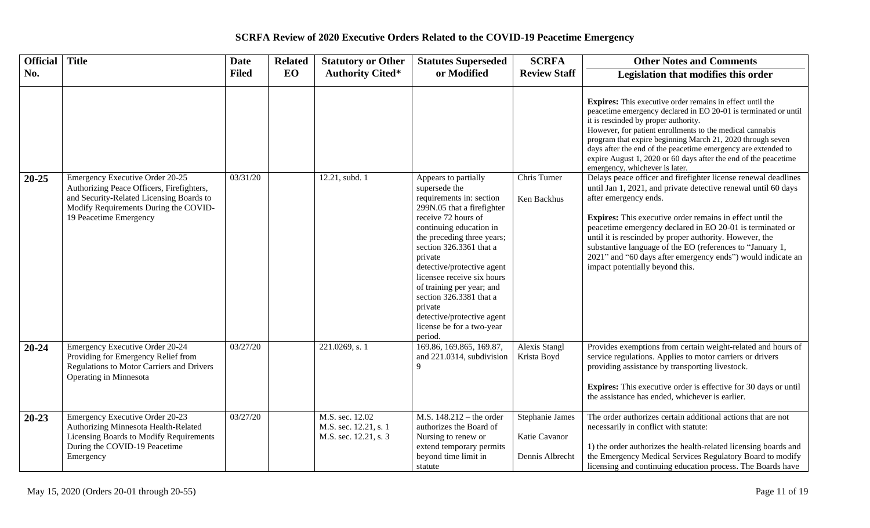| <b>Official</b> | <b>Title</b>                                                                                                                                                                                | <b>Date</b>  | <b>Related</b> | <b>Statutory or Other</b>                                         | <b>Statutes Superseded</b>                                                                                                                                                                                                                                                                                                                                                                                                 | <b>SCRFA</b>                                        | <b>Other Notes and Comments</b>                                                                                                                                                                                                                                                                                                                                                                                                                                                                                      |
|-----------------|---------------------------------------------------------------------------------------------------------------------------------------------------------------------------------------------|--------------|----------------|-------------------------------------------------------------------|----------------------------------------------------------------------------------------------------------------------------------------------------------------------------------------------------------------------------------------------------------------------------------------------------------------------------------------------------------------------------------------------------------------------------|-----------------------------------------------------|----------------------------------------------------------------------------------------------------------------------------------------------------------------------------------------------------------------------------------------------------------------------------------------------------------------------------------------------------------------------------------------------------------------------------------------------------------------------------------------------------------------------|
| No.             |                                                                                                                                                                                             | <b>Filed</b> | EO             | <b>Authority Cited*</b>                                           | or Modified                                                                                                                                                                                                                                                                                                                                                                                                                | <b>Review Staff</b>                                 | Legislation that modifies this order                                                                                                                                                                                                                                                                                                                                                                                                                                                                                 |
|                 |                                                                                                                                                                                             |              |                |                                                                   |                                                                                                                                                                                                                                                                                                                                                                                                                            |                                                     | Expires: This executive order remains in effect until the<br>peacetime emergency declared in EO 20-01 is terminated or until<br>it is rescinded by proper authority.<br>However, for patient enrollments to the medical cannabis<br>program that expire beginning March 21, 2020 through seven<br>days after the end of the peacetime emergency are extended to<br>expire August 1, 2020 or 60 days after the end of the peacetime<br>emergency, whichever is later.                                                 |
| $20 - 25$       | Emergency Executive Order 20-25<br>Authorizing Peace Officers, Firefighters,<br>and Security-Related Licensing Boards to<br>Modify Requirements During the COVID-<br>19 Peacetime Emergency | 03/31/20     |                | 12.21, subd. 1                                                    | Appears to partially<br>supersede the<br>requirements in: section<br>299N.05 that a firefighter<br>receive 72 hours of<br>continuing education in<br>the preceding three years;<br>section 326.3361 that a<br>private<br>detective/protective agent<br>licensee receive six hours<br>of training per year; and<br>section 326.3381 that a<br>private<br>detective/protective agent<br>license be for a two-year<br>period. | Chris Turner<br>Ken Backhus                         | Delays peace officer and firefighter license renewal deadlines<br>until Jan 1, 2021, and private detective renewal until 60 days<br>after emergency ends.<br><b>Expires:</b> This executive order remains in effect until the<br>peacetime emergency declared in EO 20-01 is terminated or<br>until it is rescinded by proper authority. However, the<br>substantive language of the EO (references to "January 1,<br>2021" and "60 days after emergency ends") would indicate an<br>impact potentially beyond this. |
| $20 - 24$       | Emergency Executive Order 20-24<br>Providing for Emergency Relief from<br><b>Regulations to Motor Carriers and Drivers</b><br>Operating in Minnesota                                        | 03/27/20     |                | 221.0269, s. 1                                                    | 169.86, 169.865, 169.87,<br>and 221.0314, subdivision<br>9                                                                                                                                                                                                                                                                                                                                                                 | <b>Alexis Stangl</b><br>Krista Boyd                 | Provides exemptions from certain weight-related and hours of<br>service regulations. Applies to motor carriers or drivers<br>providing assistance by transporting livestock.<br><b>Expires:</b> This executive order is effective for 30 days or until<br>the assistance has ended, whichever is earlier.                                                                                                                                                                                                            |
| $20 - 23$       | Emergency Executive Order 20-23<br>Authorizing Minnesota Health-Related<br>Licensing Boards to Modify Requirements<br>During the COVID-19 Peacetime<br>Emergency                            | 03/27/20     |                | M.S. sec. 12.02<br>M.S. sec. 12.21, s. 1<br>M.S. sec. 12.21, s. 3 | M.S. $148.212 -$ the order<br>authorizes the Board of<br>Nursing to renew or<br>extend temporary permits<br>beyond time limit in<br>statute                                                                                                                                                                                                                                                                                | Stephanie James<br>Katie Cavanor<br>Dennis Albrecht | The order authorizes certain additional actions that are not<br>necessarily in conflict with statute:<br>1) the order authorizes the health-related licensing boards and<br>the Emergency Medical Services Regulatory Board to modify<br>licensing and continuing education process. The Boards have                                                                                                                                                                                                                 |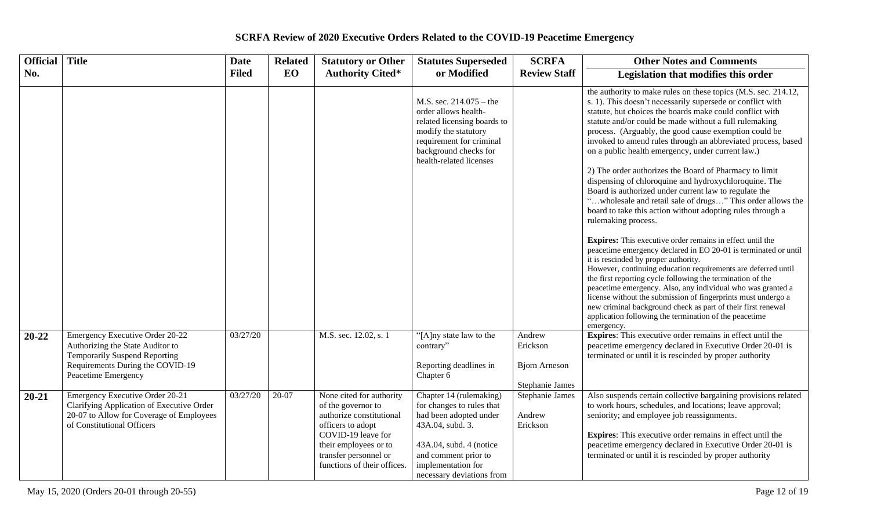| <b>Official</b> | <b>Title</b>                                                                                                                                                           | <b>Date</b>  | <b>Related</b> | <b>Statutory or Other</b>                                                                                                                                                                              | <b>Statutes Superseded</b>                                                                                                                                                                               | <b>SCRFA</b>                                                  | <b>Other Notes and Comments</b>                                                                                                                                                                                                                                                                                                                                                                                                                                                                                                                                                                                                                                                                                                                                                                                                                                                                                                                                                                                                                                                                                                                                                                                                                                                                                                                       |
|-----------------|------------------------------------------------------------------------------------------------------------------------------------------------------------------------|--------------|----------------|--------------------------------------------------------------------------------------------------------------------------------------------------------------------------------------------------------|----------------------------------------------------------------------------------------------------------------------------------------------------------------------------------------------------------|---------------------------------------------------------------|-------------------------------------------------------------------------------------------------------------------------------------------------------------------------------------------------------------------------------------------------------------------------------------------------------------------------------------------------------------------------------------------------------------------------------------------------------------------------------------------------------------------------------------------------------------------------------------------------------------------------------------------------------------------------------------------------------------------------------------------------------------------------------------------------------------------------------------------------------------------------------------------------------------------------------------------------------------------------------------------------------------------------------------------------------------------------------------------------------------------------------------------------------------------------------------------------------------------------------------------------------------------------------------------------------------------------------------------------------|
| No.             |                                                                                                                                                                        | <b>Filed</b> | <b>EO</b>      | <b>Authority Cited*</b>                                                                                                                                                                                | or Modified                                                                                                                                                                                              | <b>Review Staff</b>                                           | Legislation that modifies this order                                                                                                                                                                                                                                                                                                                                                                                                                                                                                                                                                                                                                                                                                                                                                                                                                                                                                                                                                                                                                                                                                                                                                                                                                                                                                                                  |
|                 |                                                                                                                                                                        |              |                |                                                                                                                                                                                                        | M.S. sec. $214.075 -$ the<br>order allows health-<br>related licensing boards to<br>modify the statutory<br>requirement for criminal<br>background checks for<br>health-related licenses                 |                                                               | the authority to make rules on these topics (M.S. sec. 214.12,<br>s. 1). This doesn't necessarily supersede or conflict with<br>statute, but choices the boards make could conflict with<br>statute and/or could be made without a full rulemaking<br>process. (Arguably, the good cause exemption could be<br>invoked to amend rules through an abbreviated process, based<br>on a public health emergency, under current law.)<br>2) The order authorizes the Board of Pharmacy to limit<br>dispensing of chloroquine and hydroxychloroquine. The<br>Board is authorized under current law to regulate the<br>"wholesale and retail sale of drugs" This order allows the<br>board to take this action without adopting rules through a<br>rulemaking process.<br><b>Expires:</b> This executive order remains in effect until the<br>peacetime emergency declared in EO 20-01 is terminated or until<br>it is rescinded by proper authority.<br>However, continuing education requirements are deferred until<br>the first reporting cycle following the termination of the<br>peacetime emergency. Also, any individual who was granted a<br>license without the submission of fingerprints must undergo a<br>new criminal background check as part of their first renewal<br>application following the termination of the peacetime<br>emergency. |
| 20-22           | Emergency Executive Order 20-22<br>Authorizing the State Auditor to<br><b>Temporarily Suspend Reporting</b><br>Requirements During the COVID-19<br>Peacetime Emergency | 03/27/20     |                | M.S. sec. 12.02, s. 1                                                                                                                                                                                  | "[A]ny state law to the<br>contrary"<br>Reporting deadlines in<br>Chapter 6                                                                                                                              | Andrew<br>Erickson<br><b>Bjorn</b> Arneson<br>Stephanie James | <b>Expires:</b> This executive order remains in effect until the<br>peacetime emergency declared in Executive Order 20-01 is<br>terminated or until it is rescinded by proper authority                                                                                                                                                                                                                                                                                                                                                                                                                                                                                                                                                                                                                                                                                                                                                                                                                                                                                                                                                                                                                                                                                                                                                               |
| $20 - 21$       | Emergency Executive Order 20-21<br>Clarifying Application of Executive Order<br>20-07 to Allow for Coverage of Employees<br>of Constitutional Officers                 | 03/27/20     | 20-07          | None cited for authority<br>of the governor to<br>authorize constitutional<br>officers to adopt<br>COVID-19 leave for<br>their employees or to<br>transfer personnel or<br>functions of their offices. | Chapter 14 (rulemaking)<br>for changes to rules that<br>had been adopted under<br>43A.04, subd. 3.<br>43A.04, subd. 4 (notice<br>and comment prior to<br>implementation for<br>necessary deviations from | Stephanie James<br>Andrew<br>Erickson                         | Also suspends certain collective bargaining provisions related<br>to work hours, schedules, and locations; leave approval;<br>seniority; and employee job reassignments.<br>Expires: This executive order remains in effect until the<br>peacetime emergency declared in Executive Order 20-01 is<br>terminated or until it is rescinded by proper authority                                                                                                                                                                                                                                                                                                                                                                                                                                                                                                                                                                                                                                                                                                                                                                                                                                                                                                                                                                                          |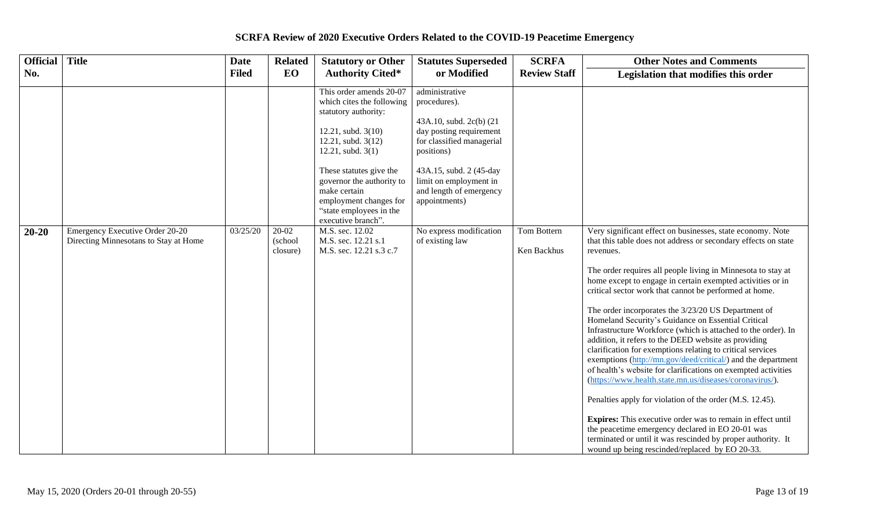| <b>Official</b> | <b>Title</b>                                                             | <b>Date</b>  | <b>Related</b>               | <b>Statutory or Other</b>                                                                                                                                                                                                                                                                             | <b>Statutes Superseded</b>                                                                                                                                                                                                       | <b>SCRFA</b>               | <b>Other Notes and Comments</b>                                                                                                                                                                                                                                                                                                                                                                                                                                                                                                                                                                                                                                                                                                                                                                                                                                                                                                                                                                                                                                                                                                    |
|-----------------|--------------------------------------------------------------------------|--------------|------------------------------|-------------------------------------------------------------------------------------------------------------------------------------------------------------------------------------------------------------------------------------------------------------------------------------------------------|----------------------------------------------------------------------------------------------------------------------------------------------------------------------------------------------------------------------------------|----------------------------|------------------------------------------------------------------------------------------------------------------------------------------------------------------------------------------------------------------------------------------------------------------------------------------------------------------------------------------------------------------------------------------------------------------------------------------------------------------------------------------------------------------------------------------------------------------------------------------------------------------------------------------------------------------------------------------------------------------------------------------------------------------------------------------------------------------------------------------------------------------------------------------------------------------------------------------------------------------------------------------------------------------------------------------------------------------------------------------------------------------------------------|
| No.             |                                                                          | <b>Filed</b> | EO                           | <b>Authority Cited*</b>                                                                                                                                                                                                                                                                               | or Modified                                                                                                                                                                                                                      | <b>Review Staff</b>        | Legislation that modifies this order                                                                                                                                                                                                                                                                                                                                                                                                                                                                                                                                                                                                                                                                                                                                                                                                                                                                                                                                                                                                                                                                                               |
|                 |                                                                          |              |                              | This order amends 20-07<br>which cites the following<br>statutory authority:<br>12.21, subd. 3(10)<br>12.21, subd. 3(12)<br>$12.21$ , subd. $3(1)$<br>These statutes give the<br>governor the authority to<br>make certain<br>employment changes for<br>"state employees in the<br>executive branch". | administrative<br>procedures).<br>43A.10, subd. 2c(b) (21<br>day posting requirement<br>for classified managerial<br>positions)<br>43A.15, subd. 2 (45-day<br>limit on employment in<br>and length of emergency<br>appointments) |                            |                                                                                                                                                                                                                                                                                                                                                                                                                                                                                                                                                                                                                                                                                                                                                                                                                                                                                                                                                                                                                                                                                                                                    |
| $20 - 20$       | Emergency Executive Order 20-20<br>Directing Minnesotans to Stay at Home | 03/25/20     | 20-02<br>(school<br>closure) | M.S. sec. 12.02<br>M.S. sec. 12.21 s.1<br>M.S. sec. 12.21 s.3 c.7                                                                                                                                                                                                                                     | No express modification<br>of existing law                                                                                                                                                                                       | Tom Bottern<br>Ken Backhus | Very significant effect on businesses, state economy. Note<br>that this table does not address or secondary effects on state<br>revenues.<br>The order requires all people living in Minnesota to stay at<br>home except to engage in certain exempted activities or in<br>critical sector work that cannot be performed at home.<br>The order incorporates the 3/23/20 US Department of<br>Homeland Security's Guidance on Essential Critical<br>Infrastructure Workforce (which is attached to the order). In<br>addition, it refers to the DEED website as providing<br>clarification for exemptions relating to critical services<br>exemptions (http://mn.gov/deed/critical/) and the department<br>of health's website for clarifications on exempted activities<br>(https://www.health.state.mn.us/diseases/coronavirus/).<br>Penalties apply for violation of the order (M.S. 12.45).<br>Expires: This executive order was to remain in effect until<br>the peacetime emergency declared in EO 20-01 was<br>terminated or until it was rescinded by proper authority. It<br>wound up being rescinded/replaced by EO 20-33. |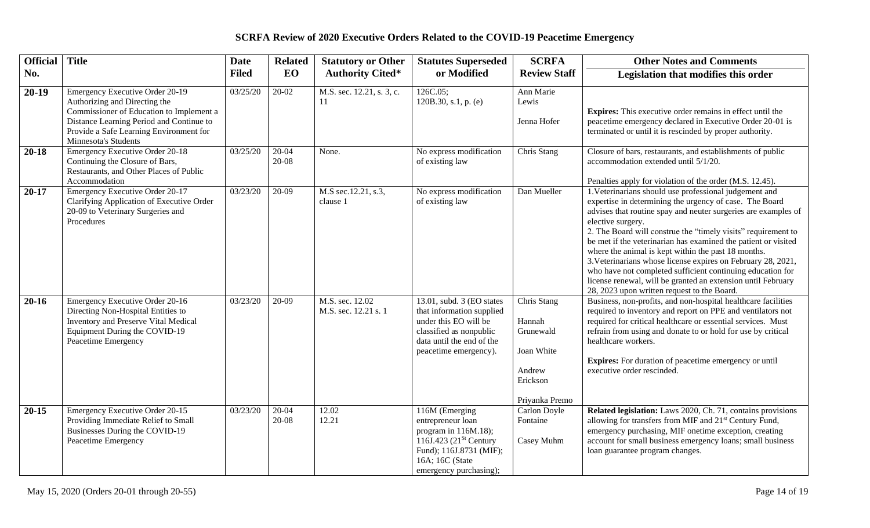| <b>Official</b> | <b>Title</b>                                                                                                                                                                                                                       | <b>Date</b>  | <b>Related</b> | <b>Statutory or Other</b>               | <b>Statutes Superseded</b>                                                                                                                                                | <b>SCRFA</b>                                                                             | <b>Other Notes and Comments</b>                                                                                                                                                                                                                                                                                                                                                                                                                                                                                                                                                                                                                 |
|-----------------|------------------------------------------------------------------------------------------------------------------------------------------------------------------------------------------------------------------------------------|--------------|----------------|-----------------------------------------|---------------------------------------------------------------------------------------------------------------------------------------------------------------------------|------------------------------------------------------------------------------------------|-------------------------------------------------------------------------------------------------------------------------------------------------------------------------------------------------------------------------------------------------------------------------------------------------------------------------------------------------------------------------------------------------------------------------------------------------------------------------------------------------------------------------------------------------------------------------------------------------------------------------------------------------|
| No.             |                                                                                                                                                                                                                                    | <b>Filed</b> | EO             | <b>Authority Cited*</b>                 | or Modified                                                                                                                                                               | <b>Review Staff</b>                                                                      | Legislation that modifies this order                                                                                                                                                                                                                                                                                                                                                                                                                                                                                                                                                                                                            |
| $20-19$         | <b>Emergency Executive Order 20-19</b><br>Authorizing and Directing the<br>Commissioner of Education to Implement a<br>Distance Learning Period and Continue to<br>Provide a Safe Learning Environment for<br>Minnesota's Students | 03/25/20     | $20-02$        | M.S. sec. 12.21, s. 3, c.<br>-11        | 126C.05;<br>120B.30, s.1, p. $(e)$                                                                                                                                        | Ann Marie<br>Lewis<br>Jenna Hofer                                                        | Expires: This executive order remains in effect until the<br>peacetime emergency declared in Executive Order 20-01 is<br>terminated or until it is rescinded by proper authority.                                                                                                                                                                                                                                                                                                                                                                                                                                                               |
| $20 - 18$       | <b>Emergency Executive Order 20-18</b><br>Continuing the Closure of Bars,<br>Restaurants, and Other Places of Public<br>Accommodation                                                                                              | 03/25/20     | 20-04<br>20-08 | None.                                   | No express modification<br>of existing law                                                                                                                                | Chris Stang                                                                              | Closure of bars, restaurants, and establishments of public<br>accommodation extended until 5/1/20.<br>Penalties apply for violation of the order (M.S. 12.45).                                                                                                                                                                                                                                                                                                                                                                                                                                                                                  |
| $20 - 17$       | Emergency Executive Order 20-17<br>Clarifying Application of Executive Order<br>20-09 to Veterinary Surgeries and<br>Procedures                                                                                                    | 03/23/20     | 20-09          | M.S sec.12.21, s.3,<br>clause 1         | No express modification<br>of existing law                                                                                                                                | Dan Mueller                                                                              | 1. Veterinarians should use professional judgement and<br>expertise in determining the urgency of case. The Board<br>advises that routine spay and neuter surgeries are examples of<br>elective surgery.<br>2. The Board will construe the "timely visits" requirement to<br>be met if the veterinarian has examined the patient or visited<br>where the animal is kept within the past 18 months.<br>3. Veterinarians whose license expires on February 28, 2021,<br>who have not completed sufficient continuing education for<br>license renewal, will be granted an extension until February<br>28, 2023 upon written request to the Board. |
| $20 - 16$       | Emergency Executive Order 20-16<br>Directing Non-Hospital Entities to<br><b>Inventory and Preserve Vital Medical</b><br>Equipment During the COVID-19<br>Peacetime Emergency                                                       | 03/23/20     | 20-09          | M.S. sec. 12.02<br>M.S. sec. 12.21 s. 1 | 13.01, subd. 3 (EO states<br>that information supplied<br>under this EO will be<br>classified as nonpublic<br>data until the end of the<br>peacetime emergency).          | Chris Stang<br>Hannah<br>Grunewald<br>Joan White<br>Andrew<br>Erickson<br>Priyanka Premo | Business, non-profits, and non-hospital healthcare facilities<br>required to inventory and report on PPE and ventilators not<br>required for critical healthcare or essential services. Must<br>refrain from using and donate to or hold for use by critical<br>healthcare workers.<br><b>Expires:</b> For duration of peacetime emergency or until<br>executive order rescinded.                                                                                                                                                                                                                                                               |
| $20 - 15$       | Emergency Executive Order 20-15<br>Providing Immediate Relief to Small<br>Businesses During the COVID-19<br>Peacetime Emergency                                                                                                    | 03/23/20     | 20-04<br>20-08 | 12.02<br>12.21                          | 116M (Emerging<br>entrepreneur loan<br>program in 116M.18);<br>116J.423 (21 <sup>St</sup> Century<br>Fund); 116J.8731 (MIF);<br>16A; 16C (State<br>emergency purchasing); | Carlon Doyle<br>Fontaine<br>Casey Muhm                                                   | Related legislation: Laws 2020, Ch. 71, contains provisions<br>allowing for transfers from MIF and 21 <sup>st</sup> Century Fund,<br>emergency purchasing, MIF onetime exception, creating<br>account for small business emergency loans; small business<br>loan guarantee program changes.                                                                                                                                                                                                                                                                                                                                                     |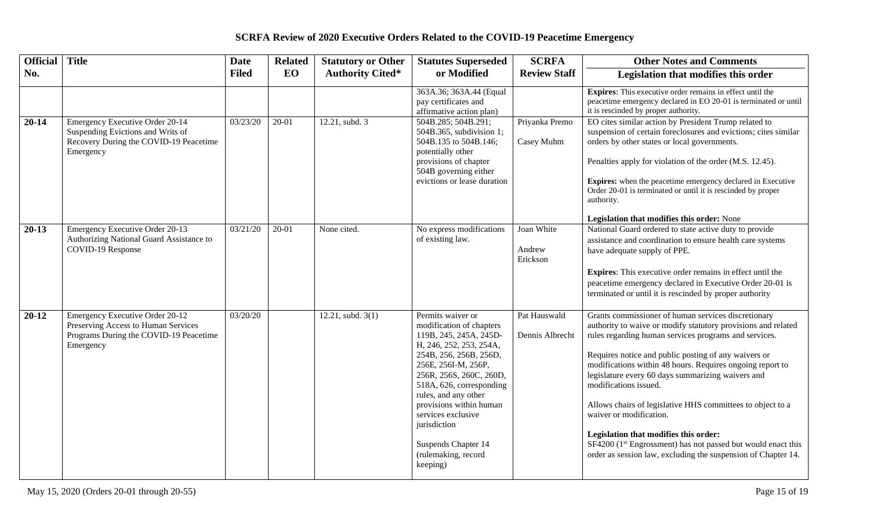| <b>Official</b> | <b>Title</b>                                                                                                                  | <b>Date</b>  | <b>Related</b> | <b>Statutory or Other</b> | <b>Statutes Superseded</b>                                                                                                                                                                                                                                                                                                                                    | <b>SCRFA</b>                     | <b>Other Notes and Comments</b>                                                                                                                                                                                                                                                                                                                                                                                                                                                                                                                                                                                                                                 |
|-----------------|-------------------------------------------------------------------------------------------------------------------------------|--------------|----------------|---------------------------|---------------------------------------------------------------------------------------------------------------------------------------------------------------------------------------------------------------------------------------------------------------------------------------------------------------------------------------------------------------|----------------------------------|-----------------------------------------------------------------------------------------------------------------------------------------------------------------------------------------------------------------------------------------------------------------------------------------------------------------------------------------------------------------------------------------------------------------------------------------------------------------------------------------------------------------------------------------------------------------------------------------------------------------------------------------------------------------|
| No.             |                                                                                                                               | <b>Filed</b> | EO             | <b>Authority Cited*</b>   | or Modified                                                                                                                                                                                                                                                                                                                                                   | <b>Review Staff</b>              | Legislation that modifies this order                                                                                                                                                                                                                                                                                                                                                                                                                                                                                                                                                                                                                            |
|                 |                                                                                                                               |              |                |                           | 363A.36; 363A.44 (Equal<br>pay certificates and<br>affirmative action plan)                                                                                                                                                                                                                                                                                   |                                  | <b>Expires:</b> This executive order remains in effect until the<br>peacetime emergency declared in EO 20-01 is terminated or until<br>it is rescinded by proper authority.                                                                                                                                                                                                                                                                                                                                                                                                                                                                                     |
| $20 - 14$       | Emergency Executive Order 20-14<br>Suspending Evictions and Writs of<br>Recovery During the COVID-19 Peacetime<br>Emergency   | 03/23/20     | 20-01          | 12.21, subd. 3            | 504B.285; 504B.291;<br>504B.365, subdivision 1;<br>504B.135 to 504B.146;<br>potentially other<br>provisions of chapter<br>504B governing either<br>evictions or lease duration                                                                                                                                                                                | Priyanka Premo<br>Casey Muhm     | EO cites similar action by President Trump related to<br>suspension of certain foreclosures and evictions; cites similar<br>orders by other states or local governments.<br>Penalties apply for violation of the order (M.S. 12.45).<br><b>Expires:</b> when the peacetime emergency declared in Executive<br>Order 20-01 is terminated or until it is rescinded by proper<br>authority.<br>Legislation that modifies this order: None                                                                                                                                                                                                                          |
| $20-13$         | Emergency Executive Order 20-13<br>Authorizing National Guard Assistance to<br>COVID-19 Response                              | 03/21/20     | $20-01$        | None cited.               | No express modifications<br>of existing law.                                                                                                                                                                                                                                                                                                                  | Joan White<br>Andrew<br>Erickson | National Guard ordered to state active duty to provide<br>assistance and coordination to ensure health care systems<br>have adequate supply of PPE.<br>Expires: This executive order remains in effect until the<br>peacetime emergency declared in Executive Order 20-01 is<br>terminated or until it is rescinded by proper authority                                                                                                                                                                                                                                                                                                                         |
| $20 - 12$       | Emergency Executive Order 20-12<br>Preserving Access to Human Services<br>Programs During the COVID-19 Peacetime<br>Emergency | 03/20/20     |                | 12.21, subd. $3(1)$       | Permits waiver or<br>modification of chapters<br>119B, 245, 245A, 245D-<br>H, 246, 252, 253, 254A,<br>254B, 256, 256B, 256D,<br>256E, 256I-M, 256P,<br>256R, 256S, 260C, 260D,<br>518A, 626, corresponding<br>rules, and any other<br>provisions within human<br>services exclusive<br>jurisdiction<br>Suspends Chapter 14<br>(rulemaking, record<br>keeping) | Pat Hauswald<br>Dennis Albrecht  | Grants commissioner of human services discretionary<br>authority to waive or modify statutory provisions and related<br>rules regarding human services programs and services.<br>Requires notice and public posting of any waivers or<br>modifications within 48 hours. Requires ongoing report to<br>legislature every 60 days summarizing waivers and<br>modifications issued.<br>Allows chairs of legislative HHS committees to object to a<br>waiver or modification.<br>Legislation that modifies this order:<br>SF4200 (1 <sup>st</sup> Engrossment) has not passed but would enact this<br>order as session law, excluding the suspension of Chapter 14. |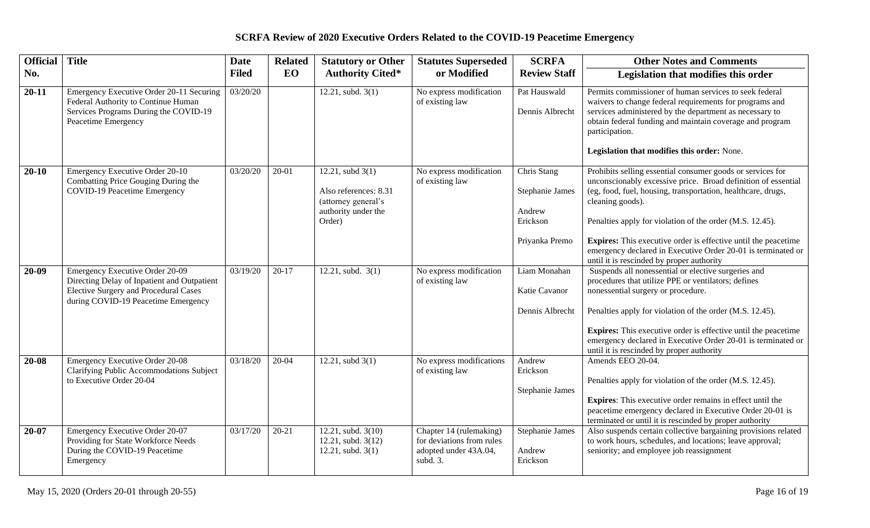| <b>Official</b> | <b>Title</b>                                                                                                                                                                 | <b>Date</b>  | <b>Related</b> | <b>Statutory or Other</b>                                                                           | <b>Statutes Superseded</b>                                                                | <b>SCRFA</b>                                                                  | <b>Other Notes and Comments</b>                                                                                                                                                                                                                                                                                                                                                                                                                                   |
|-----------------|------------------------------------------------------------------------------------------------------------------------------------------------------------------------------|--------------|----------------|-----------------------------------------------------------------------------------------------------|-------------------------------------------------------------------------------------------|-------------------------------------------------------------------------------|-------------------------------------------------------------------------------------------------------------------------------------------------------------------------------------------------------------------------------------------------------------------------------------------------------------------------------------------------------------------------------------------------------------------------------------------------------------------|
| No.             |                                                                                                                                                                              | <b>Filed</b> | <b>EO</b>      | <b>Authority Cited*</b>                                                                             | or Modified                                                                               | <b>Review Staff</b>                                                           | Legislation that modifies this order                                                                                                                                                                                                                                                                                                                                                                                                                              |
| $20 - 11$       | Emergency Executive Order 20-11 Securing<br>Federal Authority to Continue Human<br>Services Programs During the COVID-19<br>Peacetime Emergency                              | 03/20/20     |                | $12.21$ , subd. $3(1)$                                                                              | No express modification<br>of existing law                                                | Pat Hauswald<br>Dennis Albrecht                                               | Permits commissioner of human services to seek federal<br>waivers to change federal requirements for programs and<br>services administered by the department as necessary to<br>obtain federal funding and maintain coverage and program<br>participation.<br>Legislation that modifies this order: None.                                                                                                                                                         |
| $20 - 10$       | Emergency Executive Order 20-10<br>Combatting Price Gouging During the<br>COVID-19 Peacetime Emergency                                                                       | 03/20/20     | 20-01          | 12.21, subd $3(1)$<br>Also references: 8.31<br>(attorney general's<br>authority under the<br>Order) | No express modification<br>of existing law                                                | Chris Stang<br><b>Stephanie James</b><br>Andrew<br>Erickson<br>Priyanka Premo | Prohibits selling essential consumer goods or services for<br>unconscionably excessive price. Broad definition of essential<br>(eg, food, fuel, housing, transportation, healthcare, drugs,<br>cleaning goods).<br>Penalties apply for violation of the order (M.S. 12.45).<br><b>Expires:</b> This executive order is effective until the peacetime<br>emergency declared in Executive Order 20-01 is terminated or<br>until it is rescinded by proper authority |
| 20-09           | <b>Emergency Executive Order 20-09</b><br>Directing Delay of Inpatient and Outpatient<br><b>Elective Surgery and Procedural Cases</b><br>during COVID-19 Peacetime Emergency | 03/19/20     | $20-17$        | 12.21, subd. $3(1)$                                                                                 | No express modification<br>of existing law                                                | Liam Monahan<br>Katie Cavanor<br>Dennis Albrecht                              | Suspends all nonessential or elective surgeries and<br>procedures that utilize PPE or ventilators; defines<br>nonessential surgery or procedure.<br>Penalties apply for violation of the order (M.S. 12.45).<br><b>Expires:</b> This executive order is effective until the peacetime<br>emergency declared in Executive Order 20-01 is terminated or<br>until it is rescinded by proper authority                                                                |
| $20 - 08$       | <b>Emergency Executive Order 20-08</b><br>Clarifying Public Accommodations Subject<br>to Executive Order 20-04                                                               | 03/18/20     | $20-04$        | 12.21, subd $3(1)$                                                                                  | No express modifications<br>of existing law                                               | Andrew<br>Erickson<br><b>Stephanie James</b>                                  | Amends EEO 20-04.<br>Penalties apply for violation of the order (M.S. 12.45).<br><b>Expires:</b> This executive order remains in effect until the<br>peacetime emergency declared in Executive Order 20-01 is<br>terminated or until it is rescinded by proper authority                                                                                                                                                                                          |
| 20-07           | Emergency Executive Order 20-07<br>Providing for State Workforce Needs<br>During the COVID-19 Peacetime<br>Emergency                                                         | 03/17/20     | 20-21          | 12.21, subd. 3(10)<br>12.21, subd. 3(12)<br>12.21, subd. $3(1)$                                     | Chapter 14 (rulemaking)<br>for deviations from rules<br>adopted under 43A.04,<br>subd. 3. | Stephanie James<br>Andrew<br>Erickson                                         | Also suspends certain collective bargaining provisions related<br>to work hours, schedules, and locations; leave approval;<br>seniority; and employee job reassignment                                                                                                                                                                                                                                                                                            |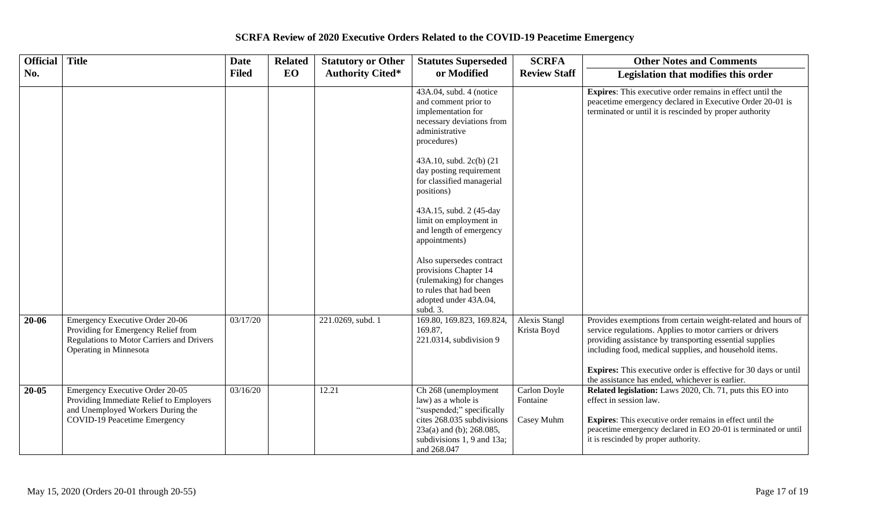#### **Official No. Title Date Filed Related EO Statutory or Other Authority Cited\* Statutes Superseded or Modified SCRFA Review Staff Other Notes and Comments Legislation that modifies this order** 43A.04, subd. 4 (notice and comment prior to implementation for necessary deviations from administrative procedures) 43A.10, subd. 2c(b) (21 day posting requirement for classified managerial positions) 43A.15, subd. 2 (45-day limit on employment in and length of emergency appointments) Also supersedes contract provisions Chapter 14 (rulemaking) for changes to rules that had been adopted under 43A.04, subd. 3. **Expires**: This executive order remains in effect until the peacetime emergency declared in Executive Order 20-01 is terminated or until it is rescinded by proper authority 20-06 Emergency Executive Order 20-06 Providing for Emergency Relief from Regulations to Motor Carriers and Drivers Operating in Minnesota 03/17/20 221.0269, subd. 1 169.80, 169.823, 169.824, 169.87, 221.0314, subdivision 9 Alexis Stangl Krista Boyd Provides exemptions from certain weight-related and hours of service regulations. Applies to motor carriers or drivers providing assistance by transporting essential supplies including food, medical supplies, and household items. **Expires:** This executive order is effective for 30 days or until the assistance has ended, whichever is earlier. 20-05 Emergency Executive Order 20-05 Providing Immediate Relief to Employers and Unemployed Workers During the COVID-19 Peacetime Emergency 03/16/20 12.21 Ch 268 (unemployment law) as a whole is "suspended;" specifically cites 268.035 subdivisions 23a(a) and (b); 268.085, subdivisions 1, 9 and 13a; and 268.047 Carlon Doyle Fontaine Casey Muhm **Related legislation:** Laws 2020, Ch. 71, puts this EO into effect in session law. **Expires**: This executive order remains in effect until the peacetime emergency declared in EO 20-01 is terminated or until it is rescinded by proper authority.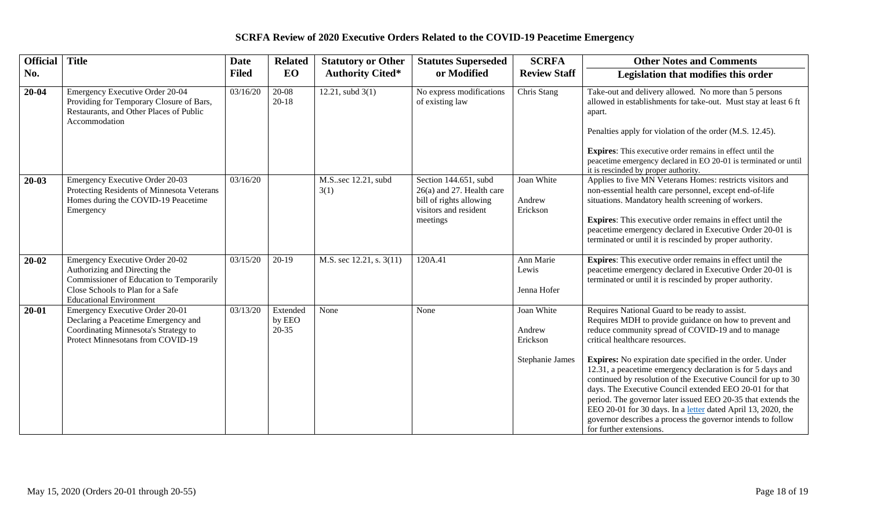| <b>Official</b> | <b>Title</b>                                                                                                                                                                       | <b>Date</b>  | <b>Related</b>                  | <b>Statutory or Other</b>    | <b>Statutes Superseded</b>                                                                                           | <b>SCRFA</b>                                        | <b>Other Notes and Comments</b>                                                                                                                                                                                                                                                                                                                                                                                                                                                                                                                                                                                                                                                  |
|-----------------|------------------------------------------------------------------------------------------------------------------------------------------------------------------------------------|--------------|---------------------------------|------------------------------|----------------------------------------------------------------------------------------------------------------------|-----------------------------------------------------|----------------------------------------------------------------------------------------------------------------------------------------------------------------------------------------------------------------------------------------------------------------------------------------------------------------------------------------------------------------------------------------------------------------------------------------------------------------------------------------------------------------------------------------------------------------------------------------------------------------------------------------------------------------------------------|
| No.             |                                                                                                                                                                                    | <b>Filed</b> | EO                              | <b>Authority Cited*</b>      | or Modified                                                                                                          | <b>Review Staff</b>                                 | Legislation that modifies this order                                                                                                                                                                                                                                                                                                                                                                                                                                                                                                                                                                                                                                             |
| $20 - 04$       | Emergency Executive Order 20-04<br>Providing for Temporary Closure of Bars,<br>Restaurants, and Other Places of Public<br>Accommodation                                            | 03/16/20     | 20-08<br>$20 - 18$              | 12.21, subd $3(1)$           | No express modifications<br>of existing law                                                                          | Chris Stang                                         | Take-out and delivery allowed. No more than 5 persons<br>allowed in establishments for take-out. Must stay at least 6 ft<br>apart.<br>Penalties apply for violation of the order (M.S. 12.45).<br><b>Expires:</b> This executive order remains in effect until the<br>peacetime emergency declared in EO 20-01 is terminated or until<br>it is rescinded by proper authority.                                                                                                                                                                                                                                                                                                    |
| $20 - 03$       | Emergency Executive Order 20-03<br>Protecting Residents of Minnesota Veterans<br>Homes during the COVID-19 Peacetime<br>Emergency                                                  | 03/16/20     |                                 | M.S. sec 12.21, subd<br>3(1) | Section 144.651, subd<br>$26(a)$ and 27. Health care<br>bill of rights allowing<br>visitors and resident<br>meetings | Joan White<br>Andrew<br>Erickson                    | Applies to five MN Veterans Homes: restricts visitors and<br>non-essential health care personnel, except end-of-life<br>situations. Mandatory health screening of workers.<br><b>Expires:</b> This executive order remains in effect until the<br>peacetime emergency declared in Executive Order 20-01 is<br>terminated or until it is rescinded by proper authority.                                                                                                                                                                                                                                                                                                           |
| $20 - 02$       | Emergency Executive Order 20-02<br>Authorizing and Directing the<br>Commissioner of Education to Temporarily<br>Close Schools to Plan for a Safe<br><b>Educational Environment</b> | 03/15/20     | $20-19$                         | M.S. sec 12.21, s. 3(11)     | 120A.41                                                                                                              | Ann Marie<br>Lewis<br>Jenna Hofer                   | <b>Expires:</b> This executive order remains in effect until the<br>peacetime emergency declared in Executive Order 20-01 is<br>terminated or until it is rescinded by proper authority.                                                                                                                                                                                                                                                                                                                                                                                                                                                                                         |
| $20 - 01$       | Emergency Executive Order 20-01<br>Declaring a Peacetime Emergency and<br>Coordinating Minnesota's Strategy to<br>Protect Minnesotans from COVID-19                                | 03/13/20     | Extended<br>by EEO<br>$20 - 35$ | None                         | None                                                                                                                 | Joan White<br>Andrew<br>Erickson<br>Stephanie James | Requires National Guard to be ready to assist.<br>Requires MDH to provide guidance on how to prevent and<br>reduce community spread of COVID-19 and to manage<br>critical healthcare resources.<br>Expires: No expiration date specified in the order. Under<br>12.31, a peacetime emergency declaration is for 5 days and<br>continued by resolution of the Executive Council for up to 30<br>days. The Executive Council extended EEO 20-01 for that<br>period. The governor later issued EEO 20-35 that extends the<br>EEO 20-01 for 30 days. In a letter dated April 13, 2020, the<br>governor describes a process the governor intends to follow<br>for further extensions. |